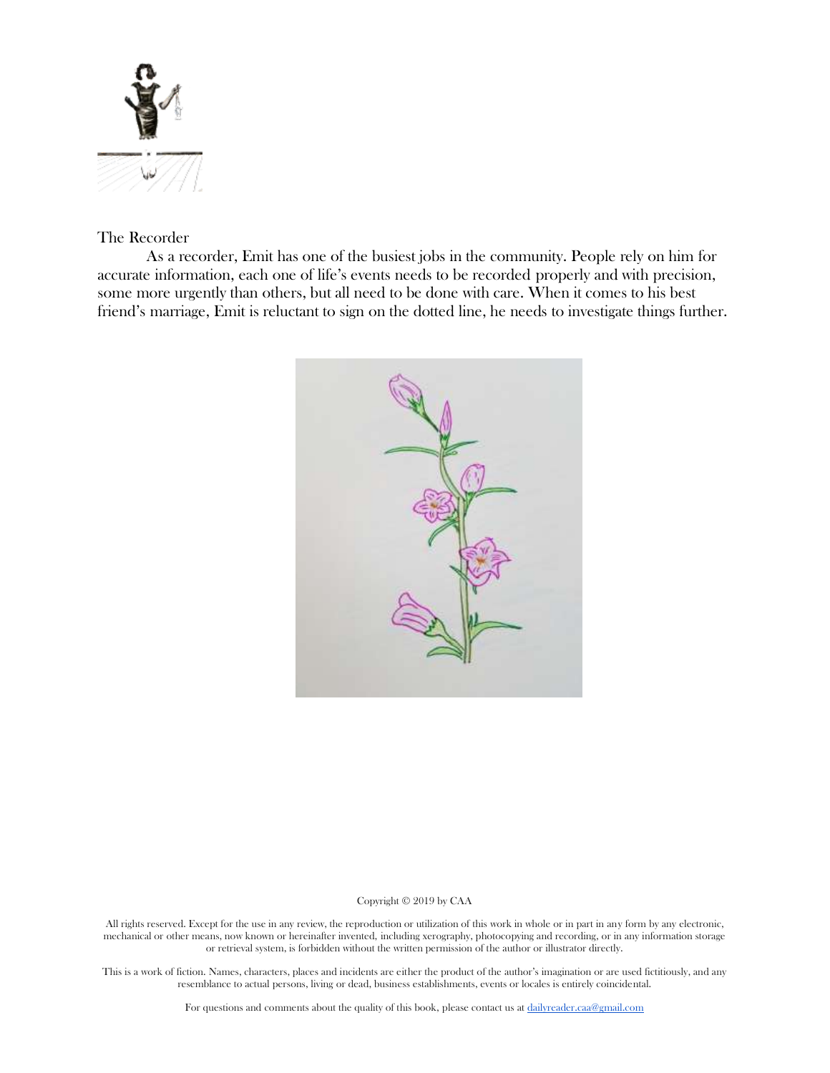

# The Recorder

As a recorder, Emit has one of the busiest jobs in the community. People rely on him for accurate information, each one of life's events needs to be recorded properly and with precision, some more urgently than others, but all need to be done with care. When it comes to his best friend's marriage, Emit is reluctant to sign on the dotted line, he needs to investigate things further.



# Copyright © 2019 by CAA

All rights reserved. Except for the use in any review, the reproduction or utilization of this work in whole or in part in any form by any electronic, mechanical or other means, now known or hereinafter invented, including xerography, photocopying and recording, or in any information storage or retrieval system, is forbidden without the written permission of the author or illustrator directly.

This is a work of fiction. Names, characters, places and incidents are either the product of the author's imagination or are used fictitiously, and any resemblance to actual persons, living or dead, business establishments, events or locales is entirely coincidental.

For questions and comments about the quality of this book, please contact us at [dailyreader.caa@gmail.com](mailto:dailyreader.caa@gmail.com)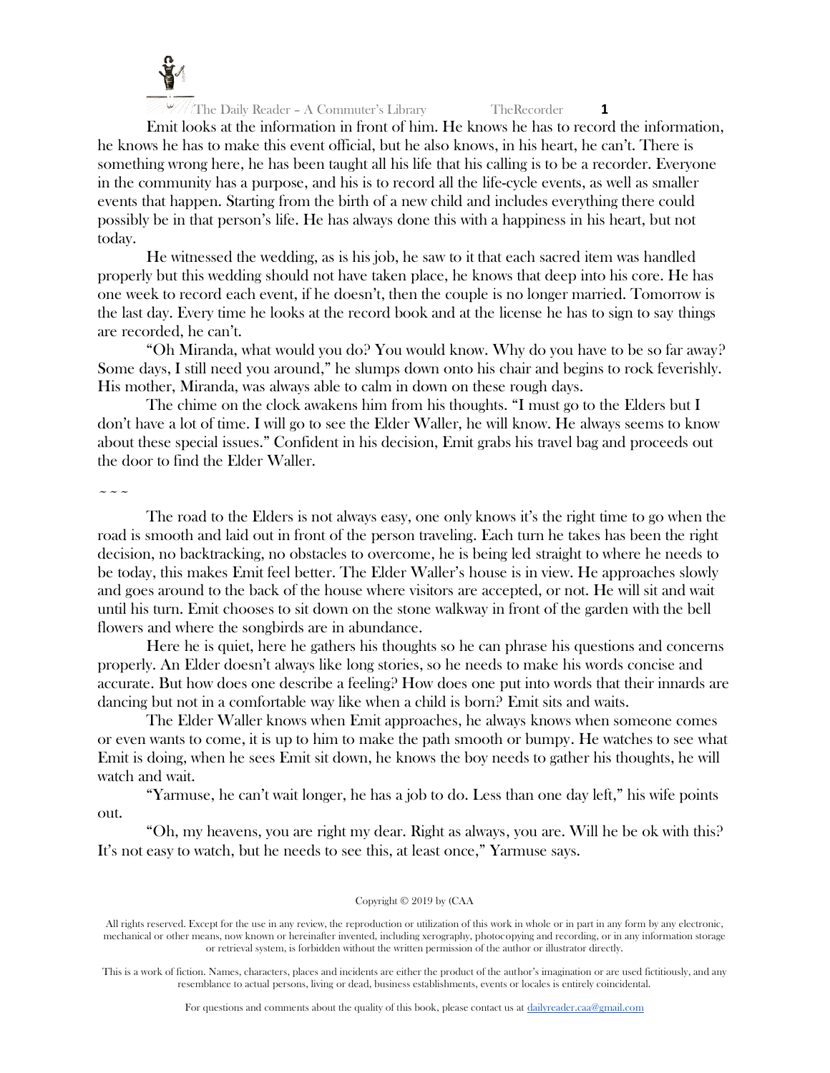

Emit looks at the information in front of him. He knows he has to record the information, he knows he has to make this event official, but he also knows, in his heart, he can't. There is something wrong here, he has been taught all his life that his calling is to be a recorder. Everyone in the community has a purpose, and his is to record all the life-cycle events, as well as smaller events that happen. Starting from the birth of a new child and includes everything there could possibly be in that person's life. He has always done this with a happiness in his heart, but not today.

He witnessed the wedding, as is his job, he saw to it that each sacred item was handled properly but this wedding should not have taken place, he knows that deep into his core. He has one week to record each event, if he doesn't, then the couple is no longer married. Tomorrow is the last day. Every time he looks at the record book and at the license he has to sign to say things are recorded, he can't.

"Oh Miranda, what would you do? You would know. Why do you have to be so far away? Some days, I still need you around," he slumps down onto his chair and begins to rock feverishly. His mother, Miranda, was always able to calm in down on these rough days.

The chime on the clock awakens him from his thoughts. "I must go to the Elders but I don't have a lot of time. I will go to see the Elder Waller, he will know. He always seems to know about these special issues." Confident in his decision, Emit grabs his travel bag and proceeds out the door to find the Elder Waller.

 $\sim$   $\sim$   $\sim$ 

The road to the Elders is not always easy, one only knows it's the right time to go when the road is smooth and laid out in front of the person traveling. Each turn he takes has been the right decision, no backtracking, no obstacles to overcome, he is being led straight to where he needs to be today, this makes Emit feel better. The Elder Waller's house is in view. He approaches slowly and goes around to the back of the house where visitors are accepted, or not. He will sit and wait until his turn. Emit chooses to sit down on the stone walkway in front of the garden with the bell flowers and where the songbirds are in abundance.

Here he is quiet, here he gathers his thoughts so he can phrase his questions and concerns properly. An Elder doesn't always like long stories, so he needs to make his words concise and accurate. But how does one describe a feeling? How does one put into words that their innards are dancing but not in a comfortable way like when a child is born? Emit sits and waits.

The Elder Waller knows when Emit approaches, he always knows when someone comes or even wants to come, it is up to him to make the path smooth or bumpy. He watches to see what Emit is doing, when he sees Emit sit down, he knows the boy needs to gather his thoughts, he will watch and wait.

"Yarmuse, he can't wait longer, he has a job to do. Less than one day left," his wife points out.

"Oh, my heavens, you are right my dear. Right as always, you are. Will he be ok with this? It's not easy to watch, but he needs to see this, at least once," Yarmuse says.

# Copyright © 2019 by (CAA

All rights reserved. Except for the use in any review, the reproduction or utilization of this work in whole or in part in any form by any electronic, mechanical or other means, now known or hereinafter invented, including xerography, photocopying and recording, or in any information storage or retrieval system, is forbidden without the written permission of the author or illustrator directly.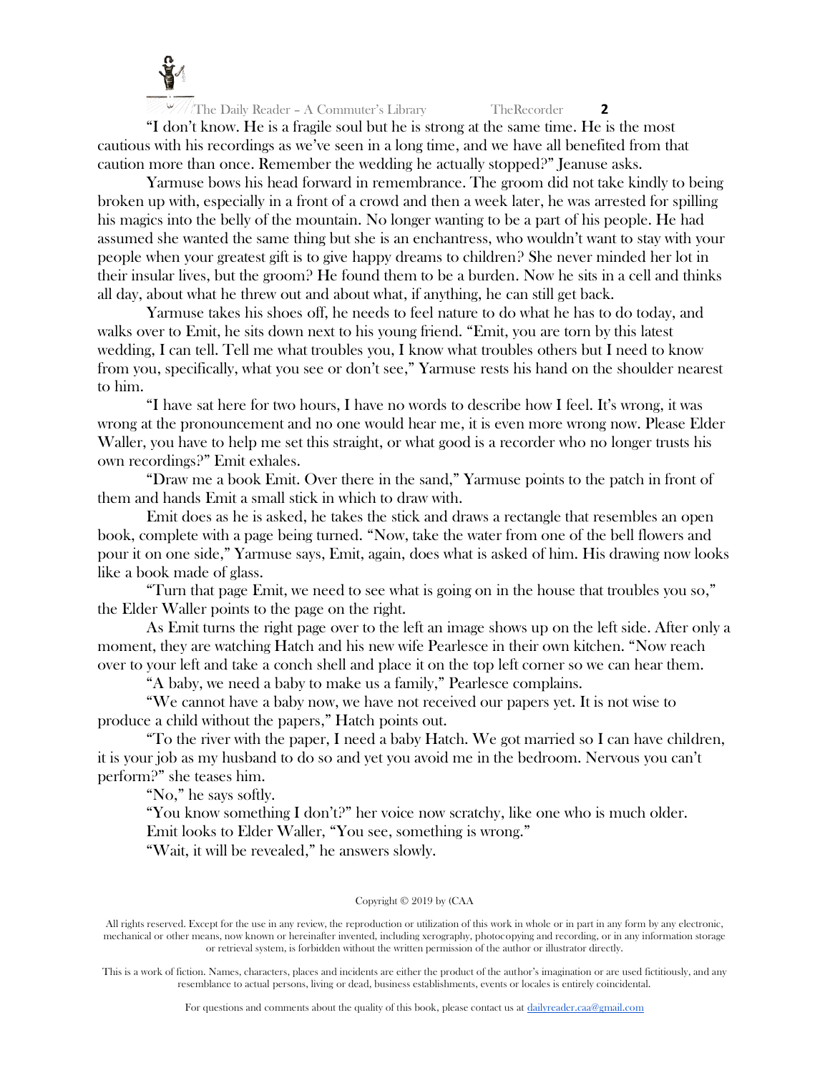

"I don't know. He is a fragile soul but he is strong at the same time. He is the most cautious with his recordings as we've seen in a long time, and we have all benefited from that caution more than once. Remember the wedding he actually stopped?" Jeanuse asks.

Yarmuse bows his head forward in remembrance. The groom did not take kindly to being broken up with, especially in a front of a crowd and then a week later, he was arrested for spilling his magics into the belly of the mountain. No longer wanting to be a part of his people. He had assumed she wanted the same thing but she is an enchantress, who wouldn't want to stay with your people when your greatest gift is to give happy dreams to children? She never minded her lot in their insular lives, but the groom? He found them to be a burden. Now he sits in a cell and thinks all day, about what he threw out and about what, if anything, he can still get back.

Yarmuse takes his shoes off, he needs to feel nature to do what he has to do today, and walks over to Emit, he sits down next to his young friend. "Emit, you are torn by this latest wedding, I can tell. Tell me what troubles you, I know what troubles others but I need to know from you, specifically, what you see or don't see," Yarmuse rests his hand on the shoulder nearest to him.

"I have sat here for two hours, I have no words to describe how I feel. It's wrong, it was wrong at the pronouncement and no one would hear me, it is even more wrong now. Please Elder Waller, you have to help me set this straight, or what good is a recorder who no longer trusts his own recordings?" Emit exhales.

"Draw me a book Emit. Over there in the sand," Yarmuse points to the patch in front of them and hands Emit a small stick in which to draw with.

Emit does as he is asked, he takes the stick and draws a rectangle that resembles an open book, complete with a page being turned. "Now, take the water from one of the bell flowers and pour it on one side," Yarmuse says, Emit, again, does what is asked of him. His drawing now looks like a book made of glass.

"Turn that page Emit, we need to see what is going on in the house that troubles you so," the Elder Waller points to the page on the right.

As Emit turns the right page over to the left an image shows up on the left side. After only a moment, they are watching Hatch and his new wife Pearlesce in their own kitchen. "Now reach over to your left and take a conch shell and place it on the top left corner so we can hear them.

"A baby, we need a baby to make us a family," Pearlesce complains.

"We cannot have a baby now, we have not received our papers yet. It is not wise to produce a child without the papers," Hatch points out.

"To the river with the paper, I need a baby Hatch. We got married so I can have children, it is your job as my husband to do so and yet you avoid me in the bedroom. Nervous you can't perform?" she teases him.

"No," he says softly.

"You know something I don't?" her voice now scratchy, like one who is much older. Emit looks to Elder Waller, "You see, something is wrong." "Wait, it will be revealed," he answers slowly.

# Copyright © 2019 by (CAA

All rights reserved. Except for the use in any review, the reproduction or utilization of this work in whole or in part in any form by any electronic, mechanical or other means, now known or hereinafter invented, including xerography, photocopying and recording, or in any information storage or retrieval system, is forbidden without the written permission of the author or illustrator directly.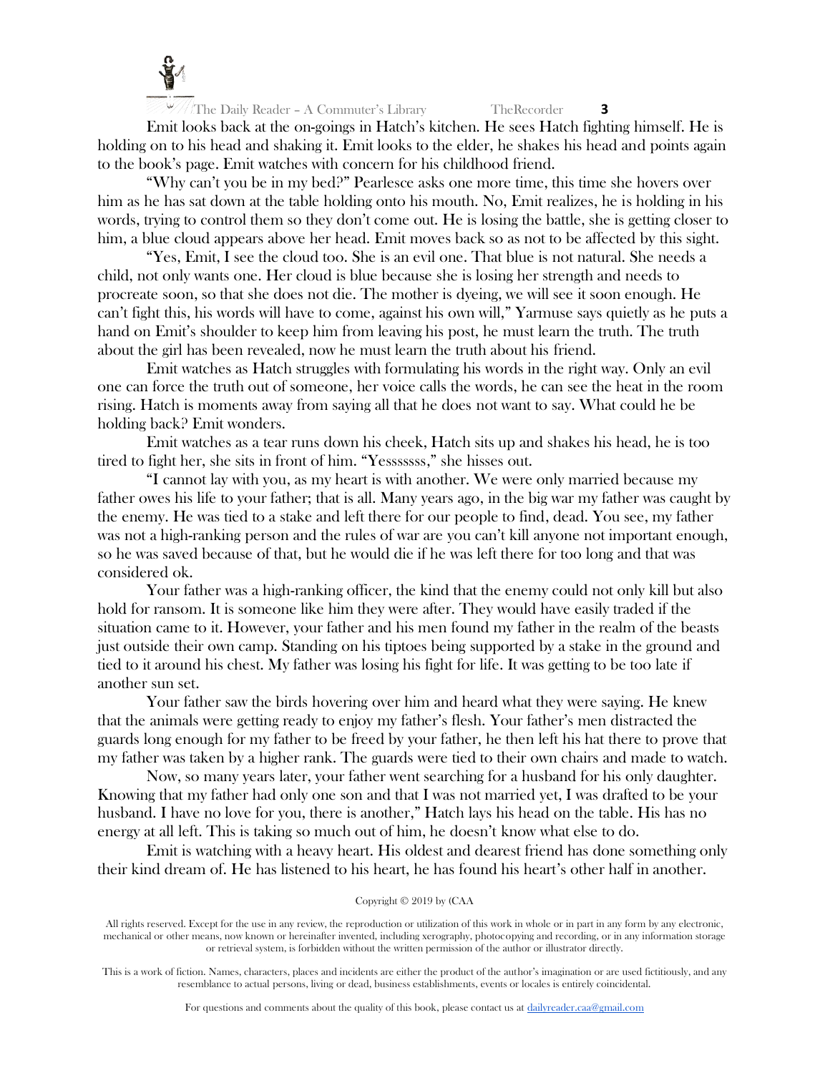

Emit looks back at the on-goings in Hatch's kitchen. He sees Hatch fighting himself. He is holding on to his head and shaking it. Emit looks to the elder, he shakes his head and points again to the book's page. Emit watches with concern for his childhood friend.

"Why can't you be in my bed?" Pearlesce asks one more time, this time she hovers over him as he has sat down at the table holding onto his mouth. No, Emit realizes, he is holding in his words, trying to control them so they don't come out. He is losing the battle, she is getting closer to him, a blue cloud appears above her head. Emit moves back so as not to be affected by this sight.

"Yes, Emit, I see the cloud too. She is an evil one. That blue is not natural. She needs a child, not only wants one. Her cloud is blue because she is losing her strength and needs to procreate soon, so that she does not die. The mother is dyeing, we will see it soon enough. He can't fight this, his words will have to come, against his own will," Yarmuse says quietly as he puts a hand on Emit's shoulder to keep him from leaving his post, he must learn the truth. The truth about the girl has been revealed, now he must learn the truth about his friend.

Emit watches as Hatch struggles with formulating his words in the right way. Only an evil one can force the truth out of someone, her voice calls the words, he can see the heat in the room rising. Hatch is moments away from saying all that he does not want to say. What could he be holding back? Emit wonders.

Emit watches as a tear runs down his cheek, Hatch sits up and shakes his head, he is too tired to fight her, she sits in front of him. "Yesssssss," she hisses out.

"I cannot lay with you, as my heart is with another. We were only married because my father owes his life to your father; that is all. Many years ago, in the big war my father was caught by the enemy. He was tied to a stake and left there for our people to find, dead. You see, my father was not a high-ranking person and the rules of war are you can't kill anyone not important enough, so he was saved because of that, but he would die if he was left there for too long and that was considered ok.

Your father was a high-ranking officer, the kind that the enemy could not only kill but also hold for ransom. It is someone like him they were after. They would have easily traded if the situation came to it. However, your father and his men found my father in the realm of the beasts just outside their own camp. Standing on his tiptoes being supported by a stake in the ground and tied to it around his chest. My father was losing his fight for life. It was getting to be too late if another sun set.

Your father saw the birds hovering over him and heard what they were saying. He knew that the animals were getting ready to enjoy my father's flesh. Your father's men distracted the guards long enough for my father to be freed by your father, he then left his hat there to prove that my father was taken by a higher rank. The guards were tied to their own chairs and made to watch.

Now, so many years later, your father went searching for a husband for his only daughter. Knowing that my father had only one son and that I was not married yet, I was drafted to be your husband. I have no love for you, there is another," Hatch lays his head on the table. His has no energy at all left. This is taking so much out of him, he doesn't know what else to do.

Emit is watching with a heavy heart. His oldest and dearest friend has done something only their kind dream of. He has listened to his heart, he has found his heart's other half in another.

# Copyright © 2019 by (CAA

All rights reserved. Except for the use in any review, the reproduction or utilization of this work in whole or in part in any form by any electronic, mechanical or other means, now known or hereinafter invented, including xerography, photocopying and recording, or in any information storage or retrieval system, is forbidden without the written permission of the author or illustrator directly.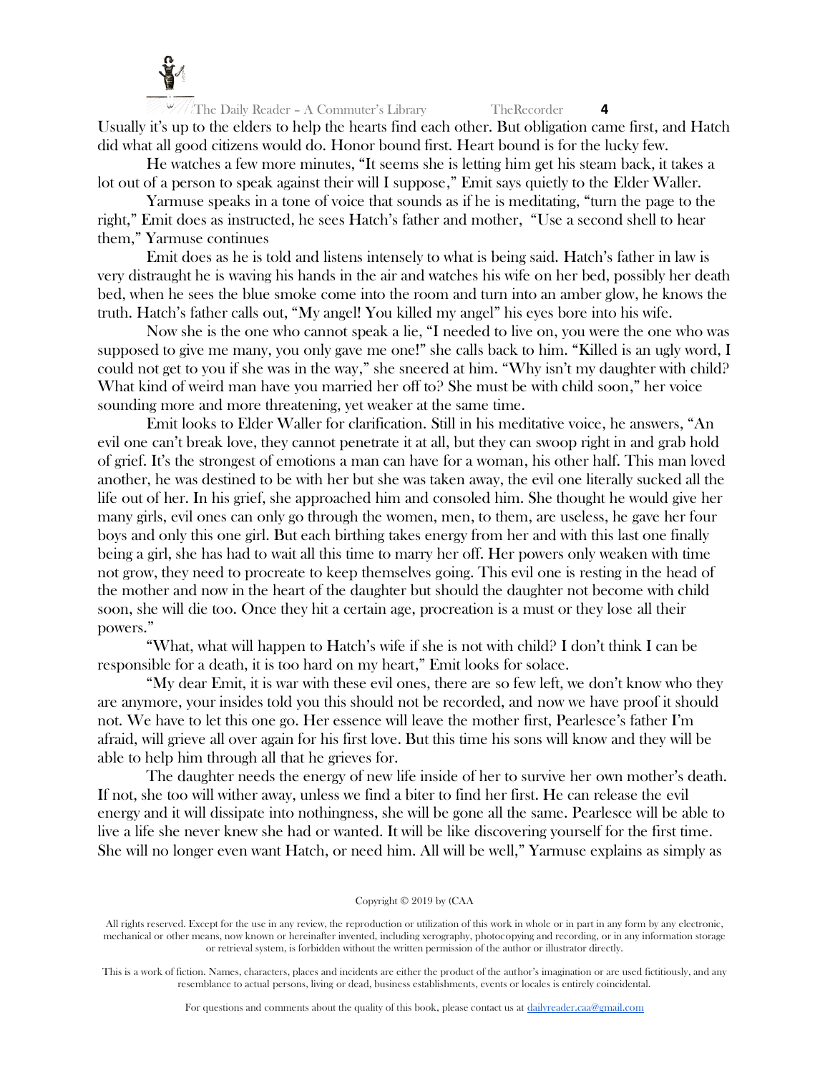

The Daily Reader – A Commuter's Library TheRecorder **4** Usually it's up to the elders to help the hearts find each other. But obligation came first, and Hatch did what all good citizens would do. Honor bound first. Heart bound is for the lucky few.

He watches a few more minutes, "It seems she is letting him get his steam back, it takes a lot out of a person to speak against their will I suppose," Emit says quietly to the Elder Waller.

Yarmuse speaks in a tone of voice that sounds as if he is meditating, "turn the page to the right," Emit does as instructed, he sees Hatch's father and mother, "Use a second shell to hear them," Yarmuse continues

Emit does as he is told and listens intensely to what is being said. Hatch's father in law is very distraught he is waving his hands in the air and watches his wife on her bed, possibly her death bed, when he sees the blue smoke come into the room and turn into an amber glow, he knows the truth. Hatch's father calls out, "My angel! You killed my angel" his eyes bore into his wife.

Now she is the one who cannot speak a lie, "I needed to live on, you were the one who was supposed to give me many, you only gave me one!" she calls back to him. "Killed is an ugly word, I could not get to you if she was in the way," she sneered at him. "Why isn't my daughter with child? What kind of weird man have you married her off to? She must be with child soon," her voice sounding more and more threatening, yet weaker at the same time.

Emit looks to Elder Waller for clarification. Still in his meditative voice, he answers, "An evil one can't break love, they cannot penetrate it at all, but they can swoop right in and grab hold of grief. It's the strongest of emotions a man can have for a woman, his other half. This man loved another, he was destined to be with her but she was taken away, the evil one literally sucked all the life out of her. In his grief, she approached him and consoled him. She thought he would give her many girls, evil ones can only go through the women, men, to them, are useless, he gave her four boys and only this one girl. But each birthing takes energy from her and with this last one finally being a girl, she has had to wait all this time to marry her off. Her powers only weaken with time not grow, they need to procreate to keep themselves going. This evil one is resting in the head of the mother and now in the heart of the daughter but should the daughter not become with child soon, she will die too. Once they hit a certain age, procreation is a must or they lose all their powers."

"What, what will happen to Hatch's wife if she is not with child? I don't think I can be responsible for a death, it is too hard on my heart," Emit looks for solace.

"My dear Emit, it is war with these evil ones, there are so few left, we don't know who they are anymore, your insides told you this should not be recorded, and now we have proof it should not. We have to let this one go. Her essence will leave the mother first, Pearlesce's father I'm afraid, will grieve all over again for his first love. But this time his sons will know and they will be able to help him through all that he grieves for.

The daughter needs the energy of new life inside of her to survive her own mother's death. If not, she too will wither away, unless we find a biter to find her first. He can release the evil energy and it will dissipate into nothingness, she will be gone all the same. Pearlesce will be able to live a life she never knew she had or wanted. It will be like discovering yourself for the first time. She will no longer even want Hatch, or need him. All will be well," Yarmuse explains as simply as

#### Copyright © 2019 by (CAA

All rights reserved. Except for the use in any review, the reproduction or utilization of this work in whole or in part in any form by any electronic, mechanical or other means, now known or hereinafter invented, including xerography, photocopying and recording, or in any information storage or retrieval system, is forbidden without the written permission of the author or illustrator directly.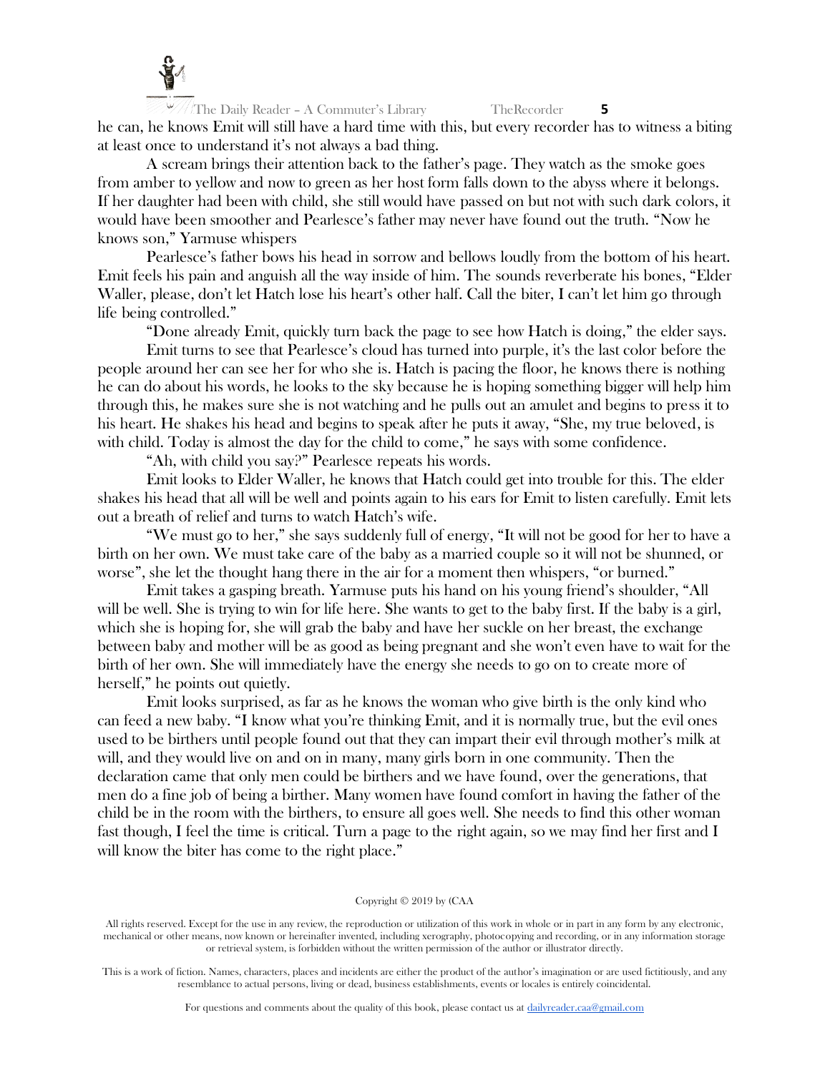

The Daily Reader – A Commuter's Library TheRecorder **5** he can, he knows Emit will still have a hard time with this, but every recorder has to witness a biting at least once to understand it's not always a bad thing.

A scream brings their attention back to the father's page. They watch as the smoke goes from amber to yellow and now to green as her host form falls down to the abyss where it belongs. If her daughter had been with child, she still would have passed on but not with such dark colors, it would have been smoother and Pearlesce's father may never have found out the truth. "Now he knows son," Yarmuse whispers

Pearlesce's father bows his head in sorrow and bellows loudly from the bottom of his heart. Emit feels his pain and anguish all the way inside of him. The sounds reverberate his bones, "Elder Waller, please, don't let Hatch lose his heart's other half. Call the biter, I can't let him go through life being controlled."

"Done already Emit, quickly turn back the page to see how Hatch is doing," the elder says.

Emit turns to see that Pearlesce's cloud has turned into purple, it's the last color before the people around her can see her for who she is. Hatch is pacing the floor, he knows there is nothing he can do about his words, he looks to the sky because he is hoping something bigger will help him through this, he makes sure she is not watching and he pulls out an amulet and begins to press it to his heart. He shakes his head and begins to speak after he puts it away, "She, my true beloved, is with child. Today is almost the day for the child to come," he says with some confidence.

"Ah, with child you say?" Pearlesce repeats his words.

Emit looks to Elder Waller, he knows that Hatch could get into trouble for this. The elder shakes his head that all will be well and points again to his ears for Emit to listen carefully. Emit lets out a breath of relief and turns to watch Hatch's wife.

"We must go to her," she says suddenly full of energy, "It will not be good for her to have a birth on her own. We must take care of the baby as a married couple so it will not be shunned, or worse", she let the thought hang there in the air for a moment then whispers, "or burned."

Emit takes a gasping breath. Yarmuse puts his hand on his young friend's shoulder, "All will be well. She is trying to win for life here. She wants to get to the baby first. If the baby is a girl, which she is hoping for, she will grab the baby and have her suckle on her breast, the exchange between baby and mother will be as good as being pregnant and she won't even have to wait for the birth of her own. She will immediately have the energy she needs to go on to create more of herself," he points out quietly.

Emit looks surprised, as far as he knows the woman who give birth is the only kind who can feed a new baby. "I know what you're thinking Emit, and it is normally true, but the evil ones used to be birthers until people found out that they can impart their evil through mother's milk at will, and they would live on and on in many, many girls born in one community. Then the declaration came that only men could be birthers and we have found, over the generations, that men do a fine job of being a birther. Many women have found comfort in having the father of the child be in the room with the birthers, to ensure all goes well. She needs to find this other woman fast though, I feel the time is critical. Turn a page to the right again, so we may find her first and I will know the biter has come to the right place."

# Copyright © 2019 by (CAA

All rights reserved. Except for the use in any review, the reproduction or utilization of this work in whole or in part in any form by any electronic, mechanical or other means, now known or hereinafter invented, including xerography, photocopying and recording, or in any information storage or retrieval system, is forbidden without the written permission of the author or illustrator directly.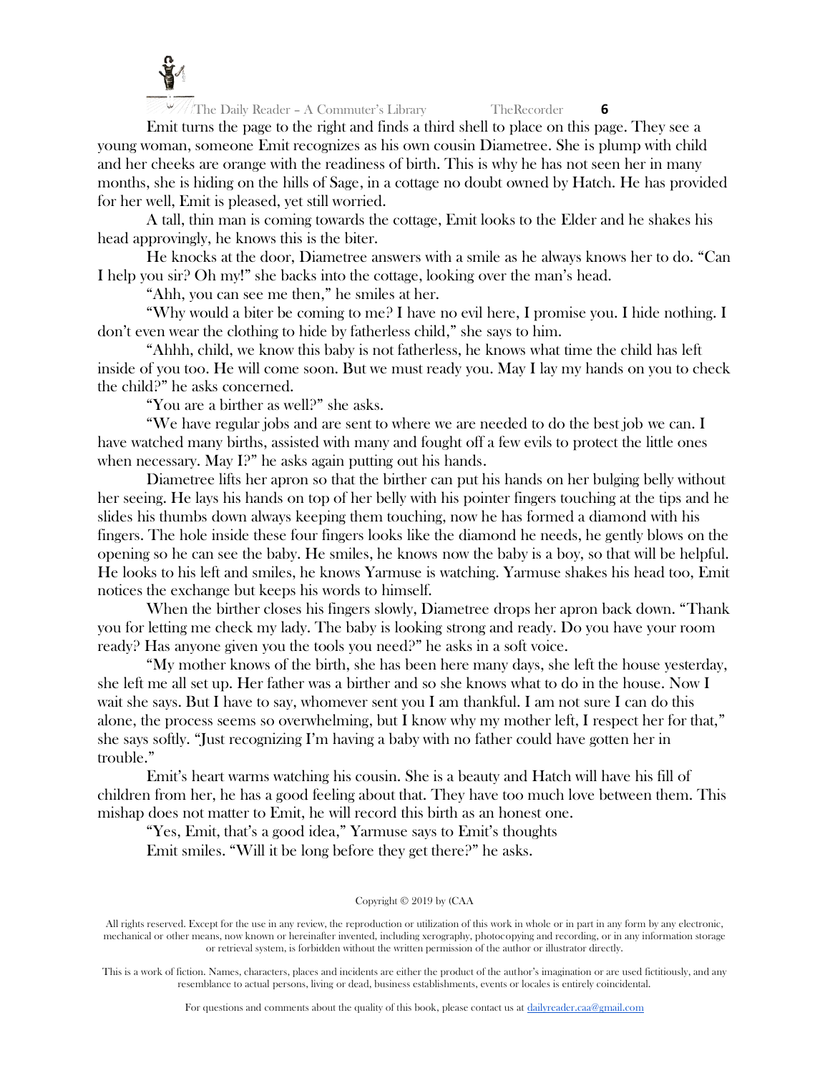

Emit turns the page to the right and finds a third shell to place on this page. They see a young woman, someone Emit recognizes as his own cousin Diametree. She is plump with child and her cheeks are orange with the readiness of birth. This is why he has not seen her in many months, she is hiding on the hills of Sage, in a cottage no doubt owned by Hatch. He has provided for her well, Emit is pleased, yet still worried.

A tall, thin man is coming towards the cottage, Emit looks to the Elder and he shakes his head approvingly, he knows this is the biter.

He knocks at the door, Diametree answers with a smile as he always knows her to do. "Can I help you sir? Oh my!" she backs into the cottage, looking over the man's head.

"Ahh, you can see me then," he smiles at her.

"Why would a biter be coming to me? I have no evil here, I promise you. I hide nothing. I don't even wear the clothing to hide by fatherless child," she says to him.

"Ahhh, child, we know this baby is not fatherless, he knows what time the child has left inside of you too. He will come soon. But we must ready you. May I lay my hands on you to check the child?" he asks concerned.

"You are a birther as well?" she asks.

"We have regular jobs and are sent to where we are needed to do the best job we can. I have watched many births, assisted with many and fought off a few evils to protect the little ones when necessary. May I?" he asks again putting out his hands.

Diametree lifts her apron so that the birther can put his hands on her bulging belly without her seeing. He lays his hands on top of her belly with his pointer fingers touching at the tips and he slides his thumbs down always keeping them touching, now he has formed a diamond with his fingers. The hole inside these four fingers looks like the diamond he needs, he gently blows on the opening so he can see the baby. He smiles, he knows now the baby is a boy, so that will be helpful. He looks to his left and smiles, he knows Yarmuse is watching. Yarmuse shakes his head too, Emit notices the exchange but keeps his words to himself.

When the birther closes his fingers slowly, Diametree drops her apron back down. "Thank you for letting me check my lady. The baby is looking strong and ready. Do you have your room ready? Has anyone given you the tools you need?" he asks in a soft voice.

"My mother knows of the birth, she has been here many days, she left the house yesterday, she left me all set up. Her father was a birther and so she knows what to do in the house. Now I wait she says. But I have to say, whomever sent you I am thankful. I am not sure I can do this alone, the process seems so overwhelming, but I know why my mother left, I respect her for that," she says softly. "Just recognizing I'm having a baby with no father could have gotten her in trouble."

Emit's heart warms watching his cousin. She is a beauty and Hatch will have his fill of children from her, he has a good feeling about that. They have too much love between them. This mishap does not matter to Emit, he will record this birth as an honest one.

"Yes, Emit, that's a good idea," Yarmuse says to Emit's thoughts Emit smiles. "Will it be long before they get there?" he asks.

# Copyright © 2019 by (CAA

All rights reserved. Except for the use in any review, the reproduction or utilization of this work in whole or in part in any form by any electronic, mechanical or other means, now known or hereinafter invented, including xerography, photocopying and recording, or in any information storage or retrieval system, is forbidden without the written permission of the author or illustrator directly.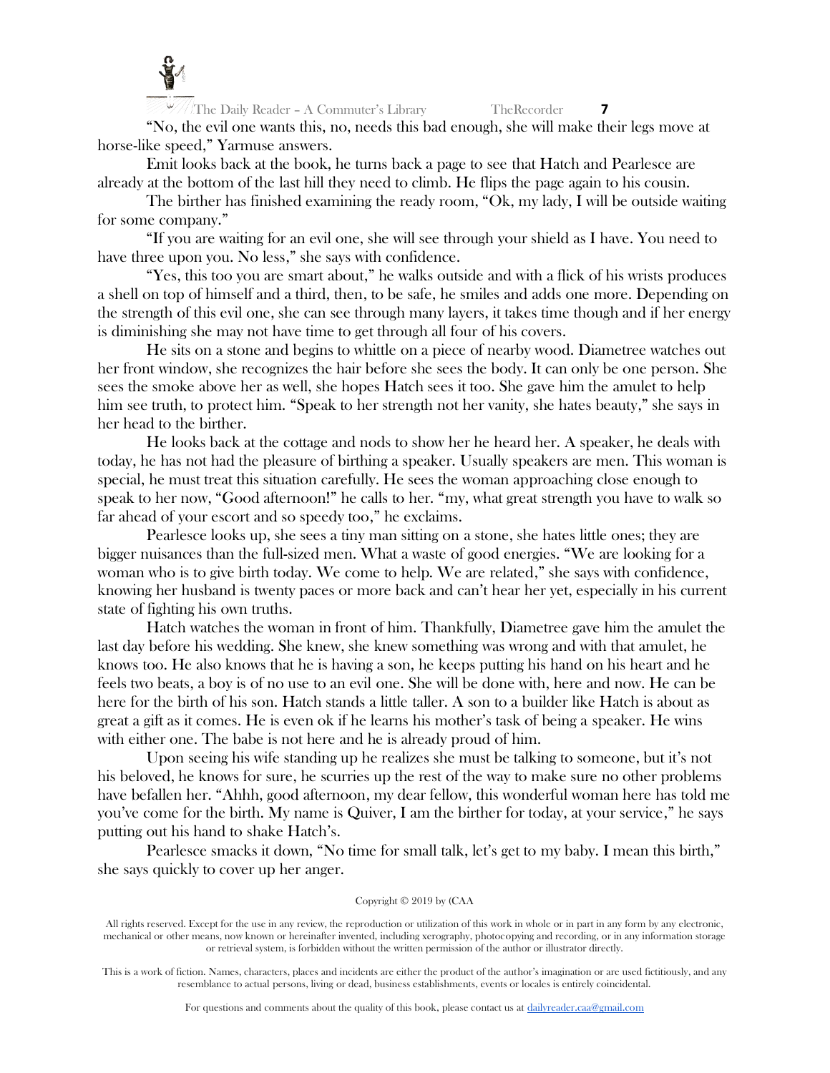

"No, the evil one wants this, no, needs this bad enough, she will make their legs move at horse-like speed," Yarmuse answers.

Emit looks back at the book, he turns back a page to see that Hatch and Pearlesce are already at the bottom of the last hill they need to climb. He flips the page again to his cousin.

The birther has finished examining the ready room, "Ok, my lady, I will be outside waiting for some company."

"If you are waiting for an evil one, she will see through your shield as I have. You need to have three upon you. No less," she says with confidence.

"Yes, this too you are smart about," he walks outside and with a flick of his wrists produces a shell on top of himself and a third, then, to be safe, he smiles and adds one more. Depending on the strength of this evil one, she can see through many layers, it takes time though and if her energy is diminishing she may not have time to get through all four of his covers.

He sits on a stone and begins to whittle on a piece of nearby wood. Diametree watches out her front window, she recognizes the hair before she sees the body. It can only be one person. She sees the smoke above her as well, she hopes Hatch sees it too. She gave him the amulet to help him see truth, to protect him. "Speak to her strength not her vanity, she hates beauty," she says in her head to the birther.

He looks back at the cottage and nods to show her he heard her. A speaker, he deals with today, he has not had the pleasure of birthing a speaker. Usually speakers are men. This woman is special, he must treat this situation carefully. He sees the woman approaching close enough to speak to her now, "Good afternoon!" he calls to her. "my, what great strength you have to walk so far ahead of your escort and so speedy too," he exclaims.

Pearlesce looks up, she sees a tiny man sitting on a stone, she hates little ones; they are bigger nuisances than the full-sized men. What a waste of good energies. "We are looking for a woman who is to give birth today. We come to help. We are related," she says with confidence, knowing her husband is twenty paces or more back and can't hear her yet, especially in his current state of fighting his own truths.

Hatch watches the woman in front of him. Thankfully, Diametree gave him the amulet the last day before his wedding. She knew, she knew something was wrong and with that amulet, he knows too. He also knows that he is having a son, he keeps putting his hand on his heart and he feels two beats, a boy is of no use to an evil one. She will be done with, here and now. He can be here for the birth of his son. Hatch stands a little taller. A son to a builder like Hatch is about as great a gift as it comes. He is even ok if he learns his mother's task of being a speaker. He wins with either one. The babe is not here and he is already proud of him.

Upon seeing his wife standing up he realizes she must be talking to someone, but it's not his beloved, he knows for sure, he scurries up the rest of the way to make sure no other problems have befallen her. "Ahhh, good afternoon, my dear fellow, this wonderful woman here has told me you've come for the birth. My name is Quiver, I am the birther for today, at your service," he says putting out his hand to shake Hatch's.

Pearlesce smacks it down, "No time for small talk, let's get to my baby. I mean this birth," she says quickly to cover up her anger.

# Copyright © 2019 by (CAA

All rights reserved. Except for the use in any review, the reproduction or utilization of this work in whole or in part in any form by any electronic, mechanical or other means, now known or hereinafter invented, including xerography, photocopying and recording, or in any information storage or retrieval system, is forbidden without the written permission of the author or illustrator directly.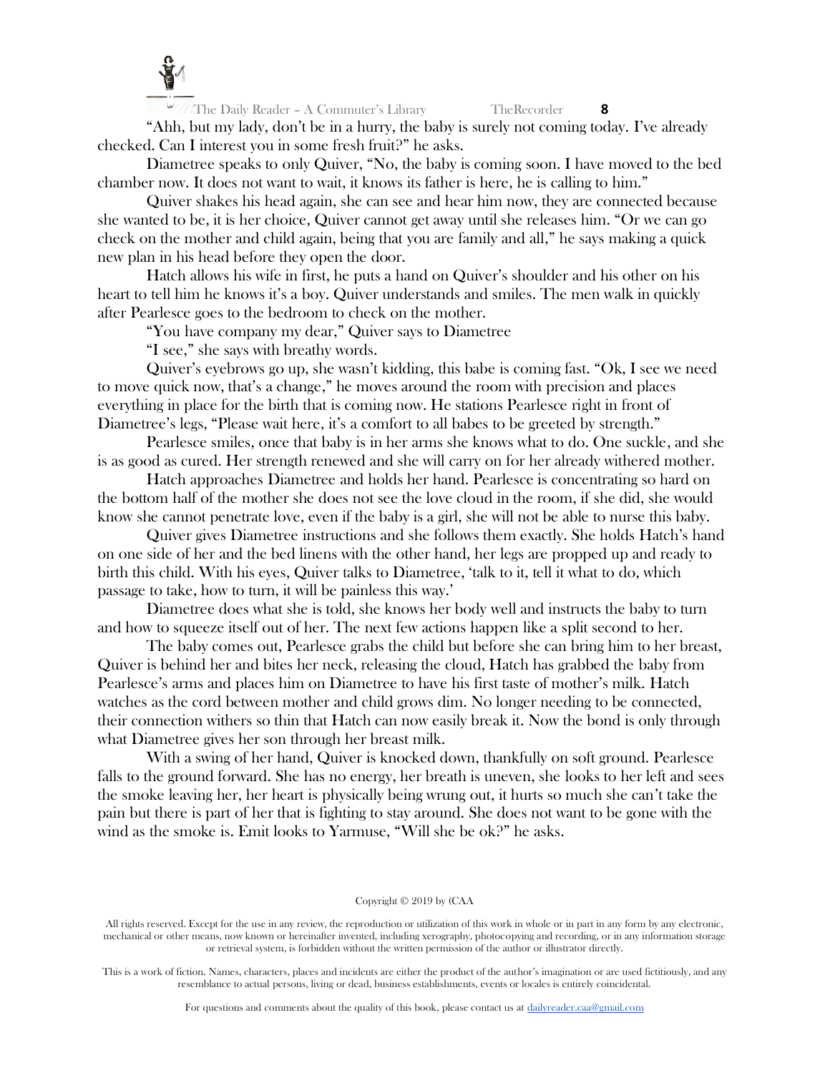

The Daily Reader – A Commuter's Library TheRecorder **8** "Ahh, but my lady, don't be in a hurry, the baby is surely not coming today. I've already checked. Can I interest you in some fresh fruit?" he asks.

Diametree speaks to only Quiver, "No, the baby is coming soon. I have moved to the bed chamber now. It does not want to wait, it knows its father is here, he is calling to him."

Quiver shakes his head again, she can see and hear him now, they are connected because she wanted to be, it is her choice, Quiver cannot get away until she releases him. "Or we can go check on the mother and child again, being that you are family and all," he says making a quick new plan in his head before they open the door.

Hatch allows his wife in first, he puts a hand on Quiver's shoulder and his other on his heart to tell him he knows it's a boy. Quiver understands and smiles. The men walk in quickly after Pearlesce goes to the bedroom to check on the mother.

"You have company my dear," Quiver says to Diametree

"I see," she says with breathy words.

Quiver's eyebrows go up, she wasn't kidding, this babe is coming fast. "Ok, I see we need to move quick now, that's a change," he moves around the room with precision and places everything in place for the birth that is coming now. He stations Pearlesce right in front of Diametree's legs, "Please wait here, it's a comfort to all babes to be greeted by strength."

Pearlesce smiles, once that baby is in her arms she knows what to do. One suckle, and she is as good as cured. Her strength renewed and she will carry on for her already withered mother.

Hatch approaches Diametree and holds her hand. Pearlesce is concentrating so hard on the bottom half of the mother she does not see the love cloud in the room, if she did, she would know she cannot penetrate love, even if the baby is a girl, she will not be able to nurse this baby.

Quiver gives Diametree instructions and she follows them exactly. She holds Hatch's hand on one side of her and the bed linens with the other hand, her legs are propped up and ready to birth this child. With his eyes, Quiver talks to Diametree, 'talk to it, tell it what to do, which passage to take, how to turn, it will be painless this way.'

Diametree does what she is told, she knows her body well and instructs the baby to turn and how to squeeze itself out of her. The next few actions happen like a split second to her.

The baby comes out, Pearlesce grabs the child but before she can bring him to her breast, Quiver is behind her and bites her neck, releasing the cloud, Hatch has grabbed the baby from Pearlesce's arms and places him on Diametree to have his first taste of mother's milk. Hatch watches as the cord between mother and child grows dim. No longer needing to be connected, their connection withers so thin that Hatch can now easily break it. Now the bond is only through what Diametree gives her son through her breast milk.

With a swing of her hand, Quiver is knocked down, thankfully on soft ground. Pearlesce falls to the ground forward. She has no energy, her breath is uneven, she looks to her left and sees the smoke leaving her, her heart is physically being wrung out, it hurts so much she can't take the pain but there is part of her that is fighting to stay around. She does not want to be gone with the wind as the smoke is. Emit looks to Yarmuse, "Will she be ok?" he asks.

# Copyright © 2019 by (CAA

All rights reserved. Except for the use in any review, the reproduction or utilization of this work in whole or in part in any form by any electronic, mechanical or other means, now known or hereinafter invented, including xerography, photocopying and recording, or in any information storage or retrieval system, is forbidden without the written permission of the author or illustrator directly.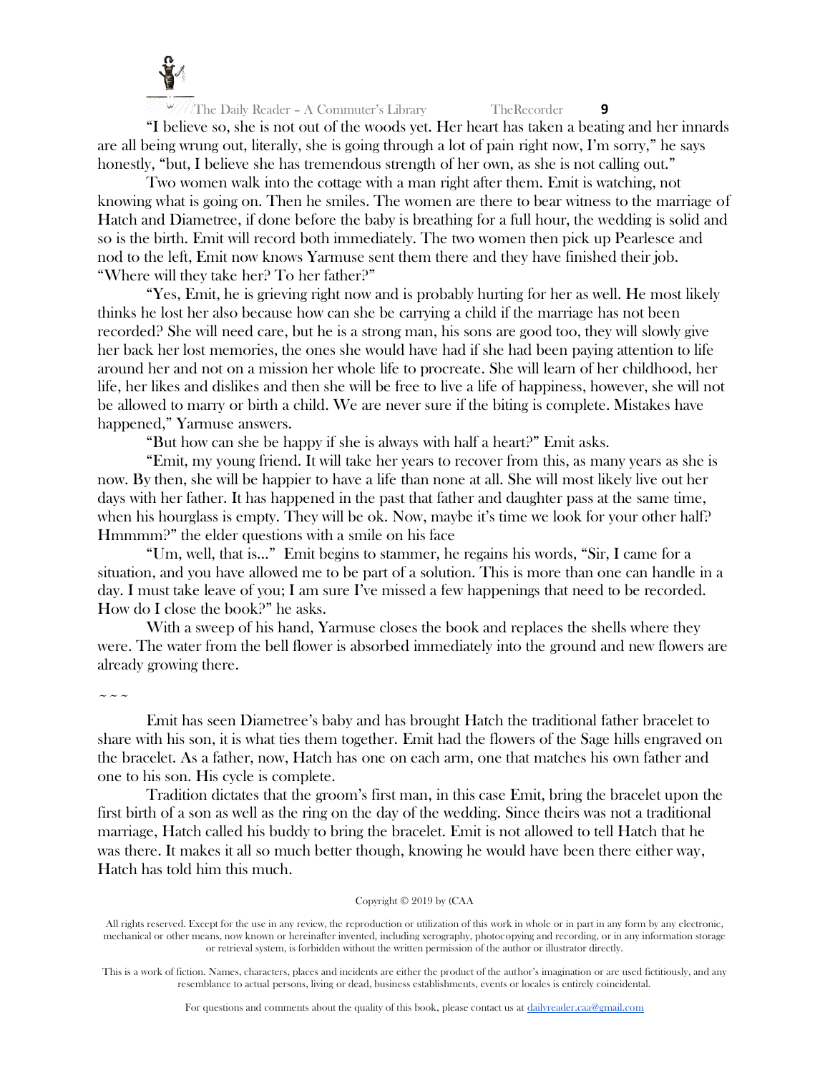

"I believe so, she is not out of the woods yet. Her heart has taken a beating and her innards are all being wrung out, literally, she is going through a lot of pain right now, I'm sorry," he says honestly, "but, I believe she has tremendous strength of her own, as she is not calling out."

Two women walk into the cottage with a man right after them. Emit is watching, not knowing what is going on. Then he smiles. The women are there to bear witness to the marriage of Hatch and Diametree, if done before the baby is breathing for a full hour, the wedding is solid and so is the birth. Emit will record both immediately. The two women then pick up Pearlesce and nod to the left, Emit now knows Yarmuse sent them there and they have finished their job. "Where will they take her? To her father?"

"Yes, Emit, he is grieving right now and is probably hurting for her as well. He most likely thinks he lost her also because how can she be carrying a child if the marriage has not been recorded? She will need care, but he is a strong man, his sons are good too, they will slowly give her back her lost memories, the ones she would have had if she had been paying attention to life around her and not on a mission her whole life to procreate. She will learn of her childhood, her life, her likes and dislikes and then she will be free to live a life of happiness, however, she will not be allowed to marry or birth a child. We are never sure if the biting is complete. Mistakes have happened," Yarmuse answers.

"But how can she be happy if she is always with half a heart?" Emit asks.

"Emit, my young friend. It will take her years to recover from this, as many years as she is now. By then, she will be happier to have a life than none at all. She will most likely live out her days with her father. It has happened in the past that father and daughter pass at the same time, when his hourglass is empty. They will be ok. Now, maybe it's time we look for your other half? Hmmmm?" the elder questions with a smile on his face

"Um, well, that is…" Emit begins to stammer, he regains his words, "Sir, I came for a situation, and you have allowed me to be part of a solution. This is more than one can handle in a day. I must take leave of you; I am sure I've missed a few happenings that need to be recorded. How do I close the book?" he asks.

With a sweep of his hand, Yarmuse closes the book and replaces the shells where they were. The water from the bell flower is absorbed immediately into the ground and new flowers are already growing there.

 $\sim$   $\sim$   $\sim$ 

Emit has seen Diametree's baby and has brought Hatch the traditional father bracelet to share with his son, it is what ties them together. Emit had the flowers of the Sage hills engraved on the bracelet. As a father, now, Hatch has one on each arm, one that matches his own father and one to his son. His cycle is complete.

Tradition dictates that the groom's first man, in this case Emit, bring the bracelet upon the first birth of a son as well as the ring on the day of the wedding. Since theirs was not a traditional marriage, Hatch called his buddy to bring the bracelet. Emit is not allowed to tell Hatch that he was there. It makes it all so much better though, knowing he would have been there either way, Hatch has told him this much.

# Copyright © 2019 by (CAA

All rights reserved. Except for the use in any review, the reproduction or utilization of this work in whole or in part in any form by any electronic, mechanical or other means, now known or hereinafter invented, including xerography, photocopying and recording, or in any information storage or retrieval system, is forbidden without the written permission of the author or illustrator directly.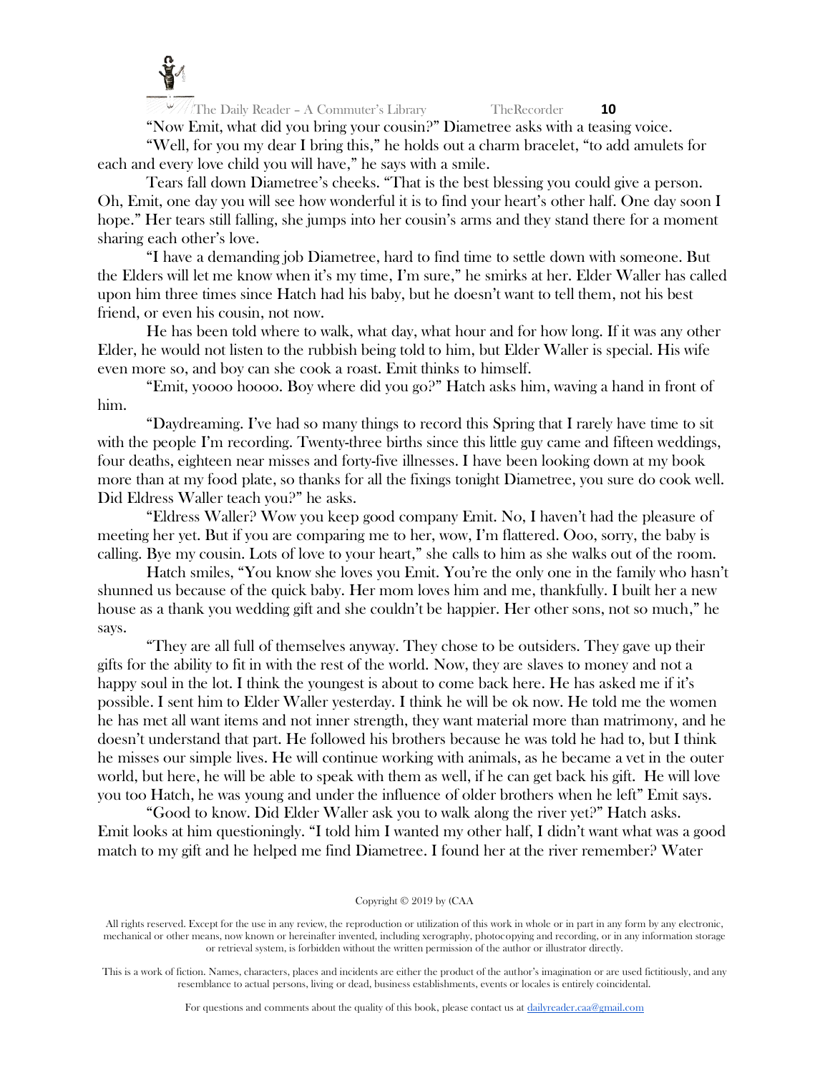

"Now Emit, what did you bring your cousin?" Diametree asks with a teasing voice. "Well, for you my dear I bring this," he holds out a charm bracelet, "to add amulets for each and every love child you will have," he says with a smile.

Tears fall down Diametree's cheeks. "That is the best blessing you could give a person. Oh, Emit, one day you will see how wonderful it is to find your heart's other half. One day soon I hope." Her tears still falling, she jumps into her cousin's arms and they stand there for a moment sharing each other's love.

"I have a demanding job Diametree, hard to find time to settle down with someone. But the Elders will let me know when it's my time, I'm sure," he smirks at her. Elder Waller has called upon him three times since Hatch had his baby, but he doesn't want to tell them, not his best friend, or even his cousin, not now.

He has been told where to walk, what day, what hour and for how long. If it was any other Elder, he would not listen to the rubbish being told to him, but Elder Waller is special. His wife even more so, and boy can she cook a roast. Emit thinks to himself.

"Emit, yoooo hoooo. Boy where did you go?" Hatch asks him, waving a hand in front of him.

"Daydreaming. I've had so many things to record this Spring that I rarely have time to sit with the people I'm recording. Twenty-three births since this little guy came and fifteen weddings, four deaths, eighteen near misses and forty-five illnesses. I have been looking down at my book more than at my food plate, so thanks for all the fixings tonight Diametree, you sure do cook well. Did Eldress Waller teach you?" he asks.

"Eldress Waller? Wow you keep good company Emit. No, I haven't had the pleasure of meeting her yet. But if you are comparing me to her, wow, I'm flattered. Ooo, sorry, the baby is calling. Bye my cousin. Lots of love to your heart," she calls to him as she walks out of the room.

Hatch smiles, "You know she loves you Emit. You're the only one in the family who hasn't shunned us because of the quick baby. Her mom loves him and me, thankfully. I built her a new house as a thank you wedding gift and she couldn't be happier. Her other sons, not so much," he says.

"They are all full of themselves anyway. They chose to be outsiders. They gave up their gifts for the ability to fit in with the rest of the world. Now, they are slaves to money and not a happy soul in the lot. I think the youngest is about to come back here. He has asked me if it's possible. I sent him to Elder Waller yesterday. I think he will be ok now. He told me the women he has met all want items and not inner strength, they want material more than matrimony, and he doesn't understand that part. He followed his brothers because he was told he had to, but I think he misses our simple lives. He will continue working with animals, as he became a vet in the outer world, but here, he will be able to speak with them as well, if he can get back his gift. He will love you too Hatch, he was young and under the influence of older brothers when he left" Emit says.

"Good to know. Did Elder Waller ask you to walk along the river yet?" Hatch asks. Emit looks at him questioningly. "I told him I wanted my other half, I didn't want what was a good match to my gift and he helped me find Diametree. I found her at the river remember? Water

# Copyright © 2019 by (CAA

All rights reserved. Except for the use in any review, the reproduction or utilization of this work in whole or in part in any form by any electronic, mechanical or other means, now known or hereinafter invented, including xerography, photocopying and recording, or in any information storage or retrieval system, is forbidden without the written permission of the author or illustrator directly.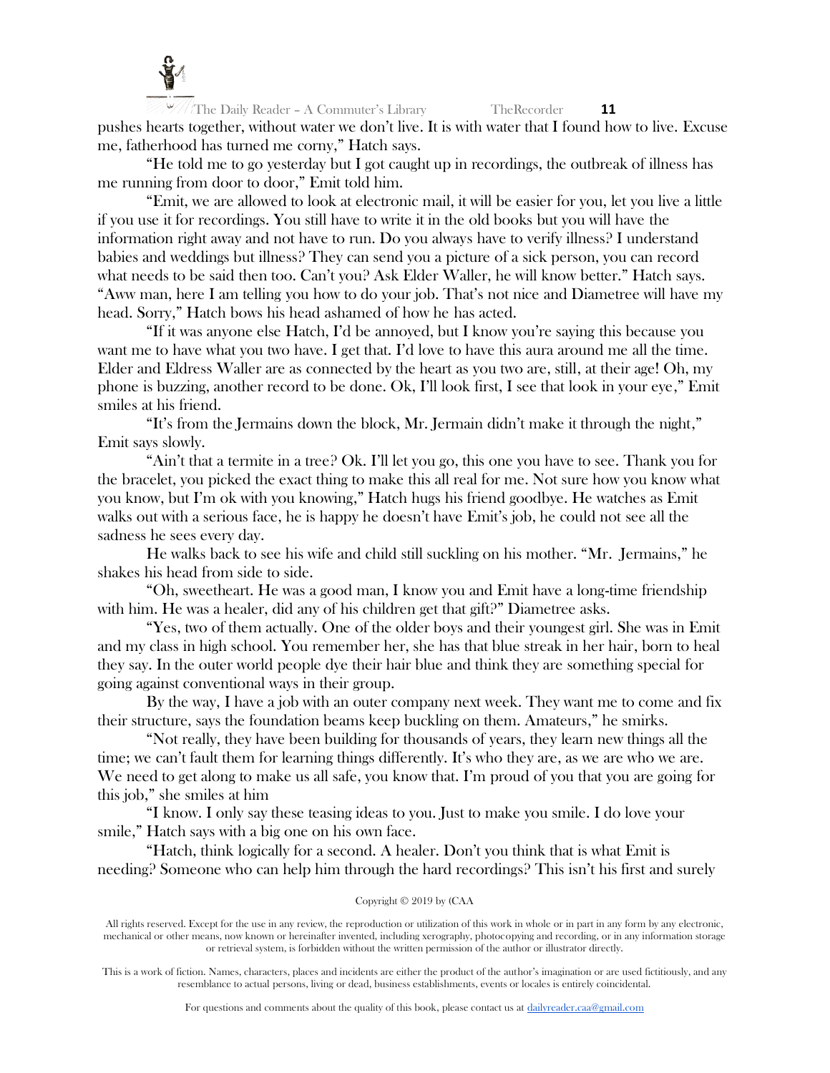

The Daily Reader – A Commuter's Library TheRecorder **11** pushes hearts together, without water we don't live. It is with water that I found how to live. Excuse me, fatherhood has turned me corny," Hatch says.

"He told me to go yesterday but I got caught up in recordings, the outbreak of illness has me running from door to door," Emit told him.

"Emit, we are allowed to look at electronic mail, it will be easier for you, let you live a little if you use it for recordings. You still have to write it in the old books but you will have the information right away and not have to run. Do you always have to verify illness? I understand babies and weddings but illness? They can send you a picture of a sick person, you can record what needs to be said then too. Can't you? Ask Elder Waller, he will know better." Hatch says. "Aww man, here I am telling you how to do your job. That's not nice and Diametree will have my head. Sorry," Hatch bows his head ashamed of how he has acted.

"If it was anyone else Hatch, I'd be annoyed, but I know you're saying this because you want me to have what you two have. I get that. I'd love to have this aura around me all the time. Elder and Eldress Waller are as connected by the heart as you two are, still, at their age! Oh, my phone is buzzing, another record to be done. Ok, I'll look first, I see that look in your eye," Emit smiles at his friend.

"It's from the Jermains down the block, Mr. Jermain didn't make it through the night," Emit says slowly.

"Ain't that a termite in a tree? Ok. I'll let you go, this one you have to see. Thank you for the bracelet, you picked the exact thing to make this all real for me. Not sure how you know what you know, but I'm ok with you knowing," Hatch hugs his friend goodbye. He watches as Emit walks out with a serious face, he is happy he doesn't have Emit's job, he could not see all the sadness he sees every day.

He walks back to see his wife and child still suckling on his mother. "Mr. Jermains," he shakes his head from side to side.

"Oh, sweetheart. He was a good man, I know you and Emit have a long-time friendship with him. He was a healer, did any of his children get that gift?" Diametree asks.

"Yes, two of them actually. One of the older boys and their youngest girl. She was in Emit and my class in high school. You remember her, she has that blue streak in her hair, born to heal they say. In the outer world people dye their hair blue and think they are something special for going against conventional ways in their group.

By the way, I have a job with an outer company next week. They want me to come and fix their structure, says the foundation beams keep buckling on them. Amateurs," he smirks.

"Not really, they have been building for thousands of years, they learn new things all the time; we can't fault them for learning things differently. It's who they are, as we are who we are. We need to get along to make us all safe, you know that. I'm proud of you that you are going for this job," she smiles at him

"I know. I only say these teasing ideas to you. Just to make you smile. I do love your smile," Hatch says with a big one on his own face.

"Hatch, think logically for a second. A healer. Don't you think that is what Emit is needing? Someone who can help him through the hard recordings? This isn't his first and surely

# Copyright © 2019 by (CAA

All rights reserved. Except for the use in any review, the reproduction or utilization of this work in whole or in part in any form by any electronic, mechanical or other means, now known or hereinafter invented, including xerography, photocopying and recording, or in any information storage or retrieval system, is forbidden without the written permission of the author or illustrator directly.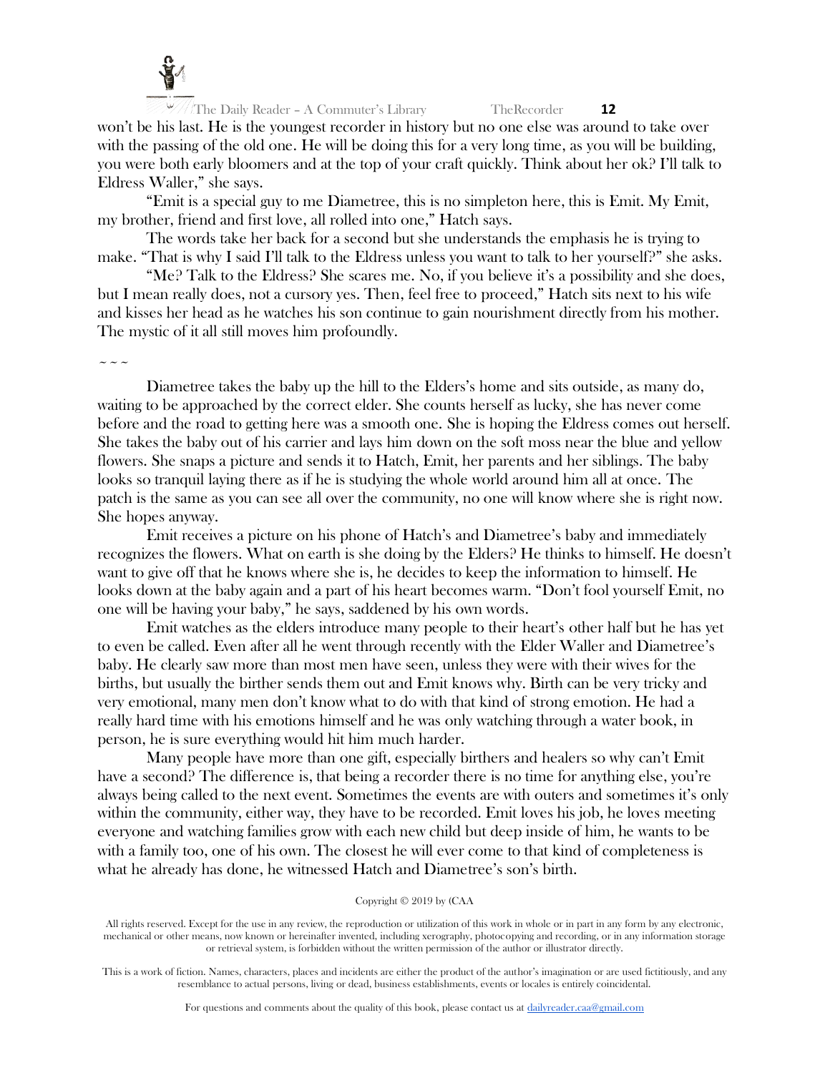

won't be his last. He is the youngest recorder in history but no one else was around to take over with the passing of the old one. He will be doing this for a very long time, as you will be building, you were both early bloomers and at the top of your craft quickly. Think about her ok? I'll talk to Eldress Waller," she says.

"Emit is a special guy to me Diametree, this is no simpleton here, this is Emit. My Emit, my brother, friend and first love, all rolled into one," Hatch says.

The words take her back for a second but she understands the emphasis he is trying to make. "That is why I said I'll talk to the Eldress unless you want to talk to her yourself?" she asks.

"Me? Talk to the Eldress? She scares me. No, if you believe it's a possibility and she does, but I mean really does, not a cursory yes. Then, feel free to proceed," Hatch sits next to his wife and kisses her head as he watches his son continue to gain nourishment directly from his mother. The mystic of it all still moves him profoundly.

 $\sim$   $\sim$   $\sim$ 

Diametree takes the baby up the hill to the Elders's home and sits outside, as many do, waiting to be approached by the correct elder. She counts herself as lucky, she has never come before and the road to getting here was a smooth one. She is hoping the Eldress comes out herself. She takes the baby out of his carrier and lays him down on the soft moss near the blue and yellow flowers. She snaps a picture and sends it to Hatch, Emit, her parents and her siblings. The baby looks so tranquil laying there as if he is studying the whole world around him all at once. The patch is the same as you can see all over the community, no one will know where she is right now. She hopes anyway.

Emit receives a picture on his phone of Hatch's and Diametree's baby and immediately recognizes the flowers. What on earth is she doing by the Elders? He thinks to himself. He doesn't want to give off that he knows where she is, he decides to keep the information to himself. He looks down at the baby again and a part of his heart becomes warm. "Don't fool yourself Emit, no one will be having your baby," he says, saddened by his own words.

Emit watches as the elders introduce many people to their heart's other half but he has yet to even be called. Even after all he went through recently with the Elder Waller and Diametree's baby. He clearly saw more than most men have seen, unless they were with their wives for the births, but usually the birther sends them out and Emit knows why. Birth can be very tricky and very emotional, many men don't know what to do with that kind of strong emotion. He had a really hard time with his emotions himself and he was only watching through a water book, in person, he is sure everything would hit him much harder.

Many people have more than one gift, especially birthers and healers so why can't Emit have a second? The difference is, that being a recorder there is no time for anything else, you're always being called to the next event. Sometimes the events are with outers and sometimes it's only within the community, either way, they have to be recorded. Emit loves his job, he loves meeting everyone and watching families grow with each new child but deep inside of him, he wants to be with a family too, one of his own. The closest he will ever come to that kind of completeness is what he already has done, he witnessed Hatch and Diametree's son's birth.

# Copyright © 2019 by (CAA

All rights reserved. Except for the use in any review, the reproduction or utilization of this work in whole or in part in any form by any electronic, mechanical or other means, now known or hereinafter invented, including xerography, photocopying and recording, or in any information storage or retrieval system, is forbidden without the written permission of the author or illustrator directly.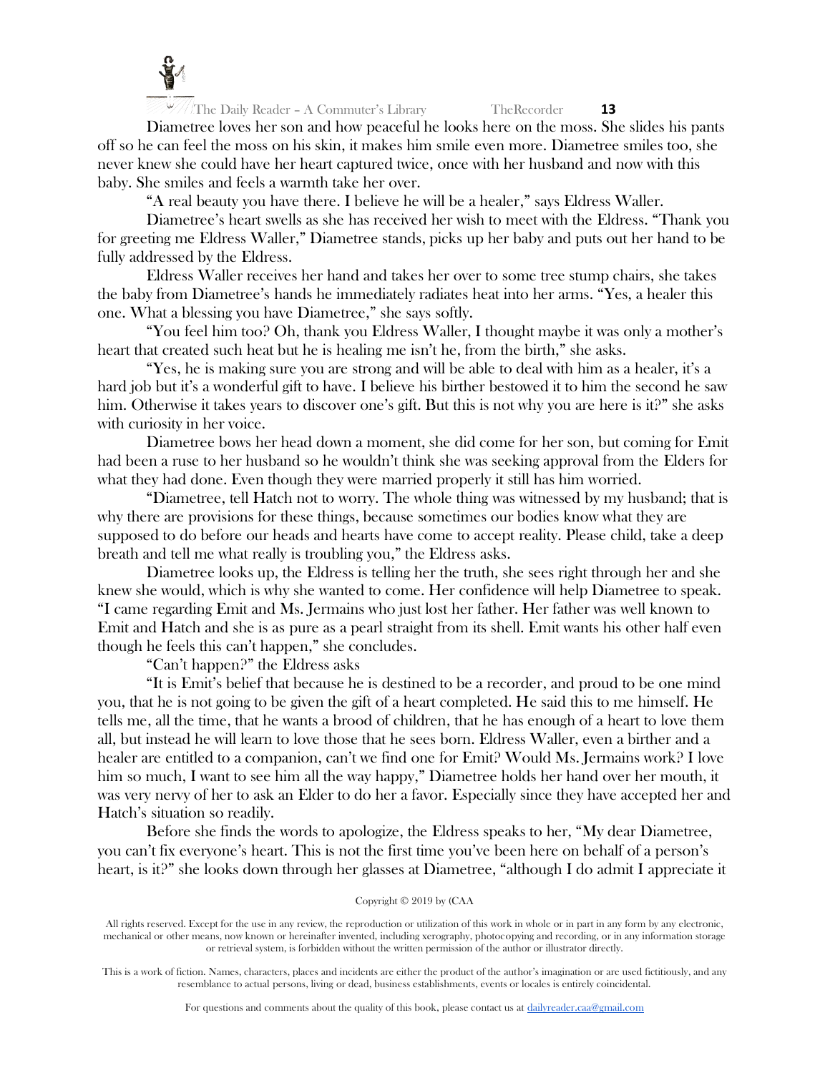

Diametree loves her son and how peaceful he looks here on the moss. She slides his pants off so he can feel the moss on his skin, it makes him smile even more. Diametree smiles too, she never knew she could have her heart captured twice, once with her husband and now with this baby. She smiles and feels a warmth take her over.

"A real beauty you have there. I believe he will be a healer," says Eldress Waller.

Diametree's heart swells as she has received her wish to meet with the Eldress. "Thank you for greeting me Eldress Waller," Diametree stands, picks up her baby and puts out her hand to be fully addressed by the Eldress.

Eldress Waller receives her hand and takes her over to some tree stump chairs, she takes the baby from Diametree's hands he immediately radiates heat into her arms. "Yes, a healer this one. What a blessing you have Diametree," she says softly.

"You feel him too? Oh, thank you Eldress Waller, I thought maybe it was only a mother's heart that created such heat but he is healing me isn't he, from the birth," she asks.

"Yes, he is making sure you are strong and will be able to deal with him as a healer, it's a hard job but it's a wonderful gift to have. I believe his birther bestowed it to him the second he saw him. Otherwise it takes years to discover one's gift. But this is not why you are here is it?" she asks with curiosity in her voice.

Diametree bows her head down a moment, she did come for her son, but coming for Emit had been a ruse to her husband so he wouldn't think she was seeking approval from the Elders for what they had done. Even though they were married properly it still has him worried.

"Diametree, tell Hatch not to worry. The whole thing was witnessed by my husband; that is why there are provisions for these things, because sometimes our bodies know what they are supposed to do before our heads and hearts have come to accept reality. Please child, take a deep breath and tell me what really is troubling you," the Eldress asks.

Diametree looks up, the Eldress is telling her the truth, she sees right through her and she knew she would, which is why she wanted to come. Her confidence will help Diametree to speak. "I came regarding Emit and Ms. Jermains who just lost her father. Her father was well known to Emit and Hatch and she is as pure as a pearl straight from its shell. Emit wants his other half even though he feels this can't happen," she concludes.

"Can't happen?" the Eldress asks

"It is Emit's belief that because he is destined to be a recorder, and proud to be one mind you, that he is not going to be given the gift of a heart completed. He said this to me himself. He tells me, all the time, that he wants a brood of children, that he has enough of a heart to love them all, but instead he will learn to love those that he sees born. Eldress Waller, even a birther and a healer are entitled to a companion, can't we find one for Emit? Would Ms. Jermains work? I love him so much, I want to see him all the way happy," Diametree holds her hand over her mouth, it was very nervy of her to ask an Elder to do her a favor. Especially since they have accepted her and Hatch's situation so readily.

Before she finds the words to apologize, the Eldress speaks to her, "My dear Diametree, you can't fix everyone's heart. This is not the first time you've been here on behalf of a person's heart, is it?" she looks down through her glasses at Diametree, "although I do admit I appreciate it

# Copyright © 2019 by (CAA

All rights reserved. Except for the use in any review, the reproduction or utilization of this work in whole or in part in any form by any electronic, mechanical or other means, now known or hereinafter invented, including xerography, photocopying and recording, or in any information storage or retrieval system, is forbidden without the written permission of the author or illustrator directly.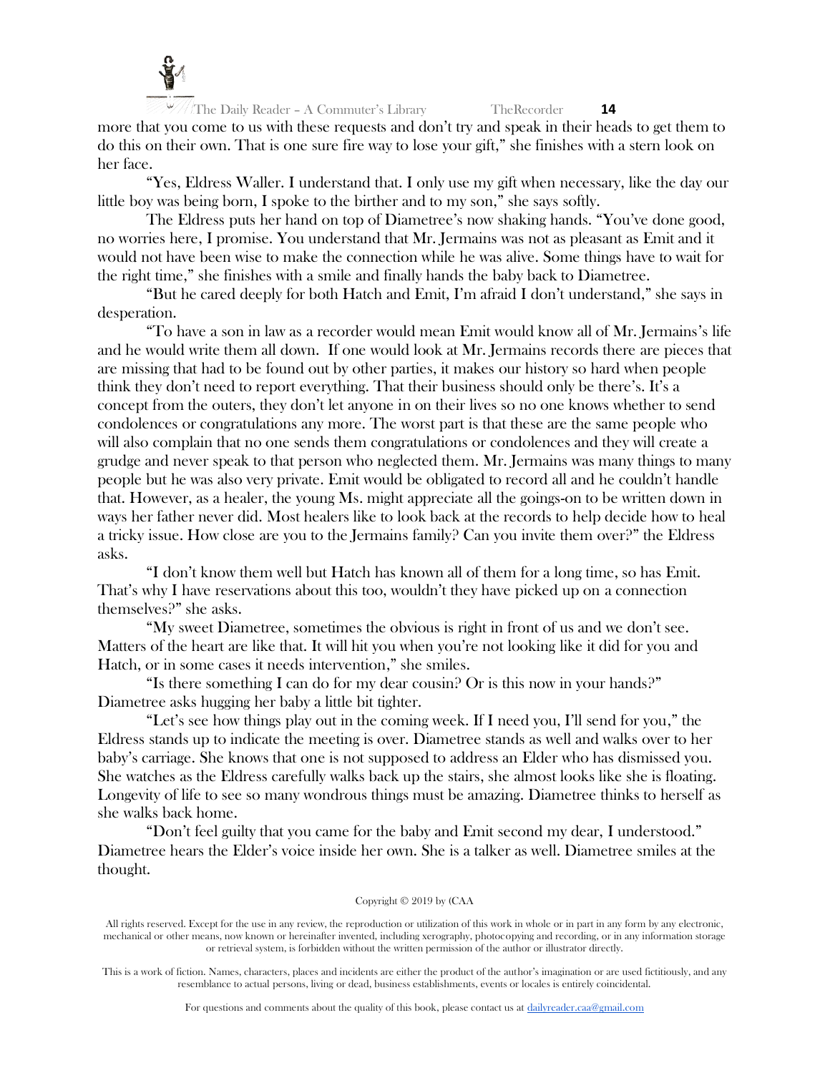

The Daily Reader – A Commuter's Library TheRecorder **14** more that you come to us with these requests and don't try and speak in their heads to get them to do this on their own. That is one sure fire way to lose your gift," she finishes with a stern look on her face.

"Yes, Eldress Waller. I understand that. I only use my gift when necessary, like the day our little boy was being born, I spoke to the birther and to my son," she says softly.

The Eldress puts her hand on top of Diametree's now shaking hands. "You've done good, no worries here, I promise. You understand that Mr. Jermains was not as pleasant as Emit and it would not have been wise to make the connection while he was alive. Some things have to wait for the right time," she finishes with a smile and finally hands the baby back to Diametree.

"But he cared deeply for both Hatch and Emit, I'm afraid I don't understand," she says in desperation.

"To have a son in law as a recorder would mean Emit would know all of Mr. Jermains's life and he would write them all down. If one would look at Mr. Jermains records there are pieces that are missing that had to be found out by other parties, it makes our history so hard when people think they don't need to report everything. That their business should only be there's. It's a concept from the outers, they don't let anyone in on their lives so no one knows whether to send condolences or congratulations any more. The worst part is that these are the same people who will also complain that no one sends them congratulations or condolences and they will create a grudge and never speak to that person who neglected them. Mr. Jermains was many things to many people but he was also very private. Emit would be obligated to record all and he couldn't handle that. However, as a healer, the young Ms. might appreciate all the goings-on to be written down in ways her father never did. Most healers like to look back at the records to help decide how to heal a tricky issue. How close are you to the Jermains family? Can you invite them over?" the Eldress asks.

"I don't know them well but Hatch has known all of them for a long time, so has Emit. That's why I have reservations about this too, wouldn't they have picked up on a connection themselves?" she asks.

"My sweet Diametree, sometimes the obvious is right in front of us and we don't see. Matters of the heart are like that. It will hit you when you're not looking like it did for you and Hatch, or in some cases it needs intervention," she smiles.

"Is there something I can do for my dear cousin? Or is this now in your hands?" Diametree asks hugging her baby a little bit tighter.

"Let's see how things play out in the coming week. If I need you, I'll send for you," the Eldress stands up to indicate the meeting is over. Diametree stands as well and walks over to her baby's carriage. She knows that one is not supposed to address an Elder who has dismissed you. She watches as the Eldress carefully walks back up the stairs, she almost looks like she is floating. Longevity of life to see so many wondrous things must be amazing. Diametree thinks to herself as she walks back home.

"Don't feel guilty that you came for the baby and Emit second my dear, I understood." Diametree hears the Elder's voice inside her own. She is a talker as well. Diametree smiles at the thought.

# Copyright © 2019 by (CAA

All rights reserved. Except for the use in any review, the reproduction or utilization of this work in whole or in part in any form by any electronic, mechanical or other means, now known or hereinafter invented, including xerography, photocopying and recording, or in any information storage or retrieval system, is forbidden without the written permission of the author or illustrator directly.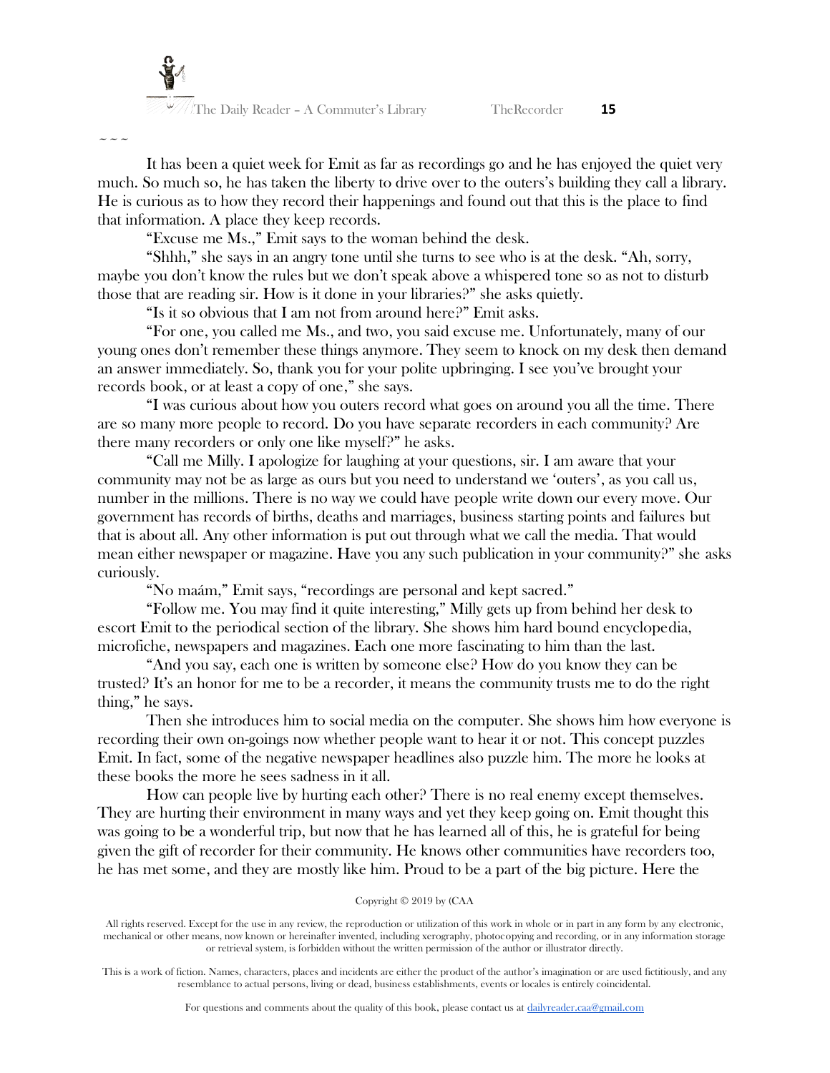$\sim$   $\sim$   $\sim$ 

It has been a quiet week for Emit as far as recordings go and he has enjoyed the quiet very much. So much so, he has taken the liberty to drive over to the outers's building they call a library. He is curious as to how they record their happenings and found out that this is the place to find that information. A place they keep records.

"Excuse me Ms.," Emit says to the woman behind the desk.

"Shhh," she says in an angry tone until she turns to see who is at the desk. "Ah, sorry, maybe you don't know the rules but we don't speak above a whispered tone so as not to disturb those that are reading sir. How is it done in your libraries?" she asks quietly.

"Is it so obvious that I am not from around here?" Emit asks.

"For one, you called me Ms., and two, you said excuse me. Unfortunately, many of our young ones don't remember these things anymore. They seem to knock on my desk then demand an answer immediately. So, thank you for your polite upbringing. I see you've brought your records book, or at least a copy of one," she says.

"I was curious about how you outers record what goes on around you all the time. There are so many more people to record. Do you have separate recorders in each community? Are there many recorders or only one like myself?" he asks.

"Call me Milly. I apologize for laughing at your questions, sir. I am aware that your community may not be as large as ours but you need to understand we 'outers', as you call us, number in the millions. There is no way we could have people write down our every move. Our government has records of births, deaths and marriages, business starting points and failures but that is about all. Any other information is put out through what we call the media. That would mean either newspaper or magazine. Have you any such publication in your community?" she asks curiously.

"No maám," Emit says, "recordings are personal and kept sacred."

"Follow me. You may find it quite interesting," Milly gets up from behind her desk to escort Emit to the periodical section of the library. She shows him hard bound encyclopedia, microfiche, newspapers and magazines. Each one more fascinating to him than the last.

"And you say, each one is written by someone else? How do you know they can be trusted? It's an honor for me to be a recorder, it means the community trusts me to do the right thing," he says.

Then she introduces him to social media on the computer. She shows him how everyone is recording their own on-goings now whether people want to hear it or not. This concept puzzles Emit. In fact, some of the negative newspaper headlines also puzzle him. The more he looks at these books the more he sees sadness in it all.

How can people live by hurting each other? There is no real enemy except themselves. They are hurting their environment in many ways and yet they keep going on. Emit thought this was going to be a wonderful trip, but now that he has learned all of this, he is grateful for being given the gift of recorder for their community. He knows other communities have recorders too, he has met some, and they are mostly like him. Proud to be a part of the big picture. Here the

# Copyright © 2019 by (CAA

All rights reserved. Except for the use in any review, the reproduction or utilization of this work in whole or in part in any form by any electronic, mechanical or other means, now known or hereinafter invented, including xerography, photocopying and recording, or in any information storage or retrieval system, is forbidden without the written permission of the author or illustrator directly.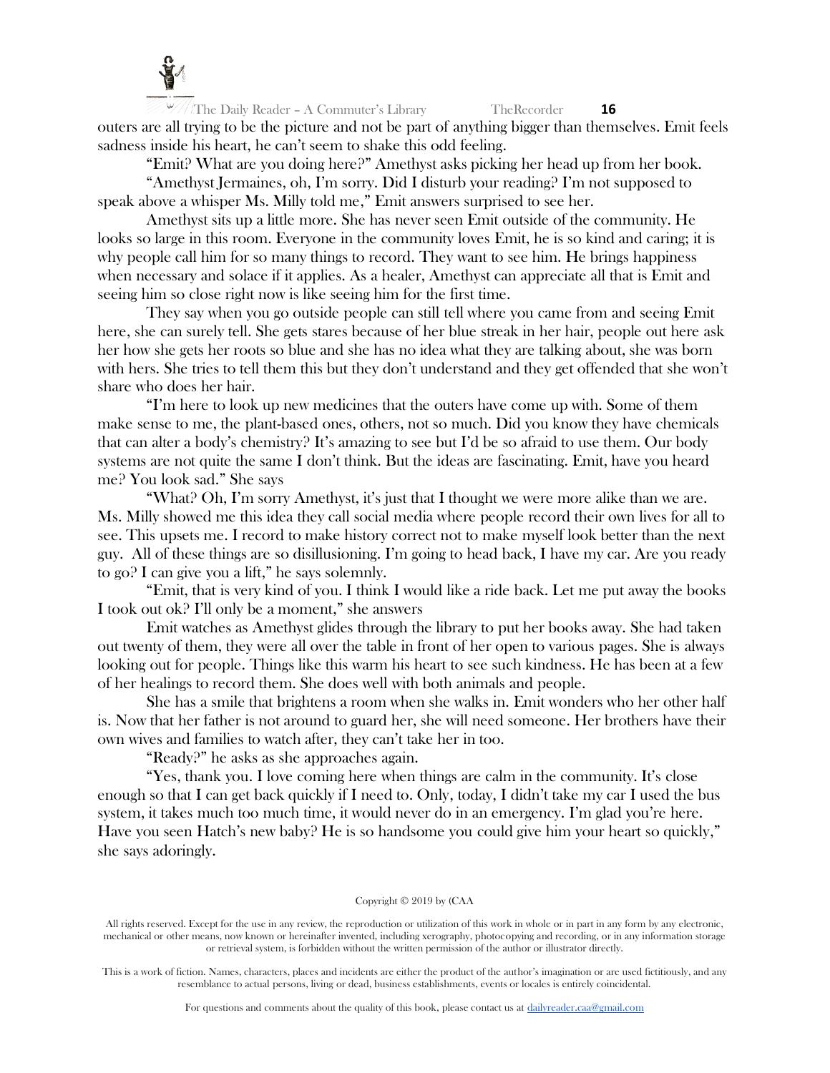

All The Daily Reader – A Commuter's Library TheRecorder **16** outers are all trying to be the picture and not be part of anything bigger than themselves. Emit feels sadness inside his heart, he can't seem to shake this odd feeling.

"Emit? What are you doing here?" Amethyst asks picking her head up from her book.

"Amethyst Jermaines, oh, I'm sorry. Did I disturb your reading? I'm not supposed to speak above a whisper Ms. Milly told me," Emit answers surprised to see her.

Amethyst sits up a little more. She has never seen Emit outside of the community. He looks so large in this room. Everyone in the community loves Emit, he is so kind and caring; it is why people call him for so many things to record. They want to see him. He brings happiness when necessary and solace if it applies. As a healer, Amethyst can appreciate all that is Emit and seeing him so close right now is like seeing him for the first time.

They say when you go outside people can still tell where you came from and seeing Emit here, she can surely tell. She gets stares because of her blue streak in her hair, people out here ask her how she gets her roots so blue and she has no idea what they are talking about, she was born with hers. She tries to tell them this but they don't understand and they get offended that she won't share who does her hair.

"I'm here to look up new medicines that the outers have come up with. Some of them make sense to me, the plant-based ones, others, not so much. Did you know they have chemicals that can alter a body's chemistry? It's amazing to see but I'd be so afraid to use them. Our body systems are not quite the same I don't think. But the ideas are fascinating. Emit, have you heard me? You look sad." She says

"What? Oh, I'm sorry Amethyst, it's just that I thought we were more alike than we are. Ms. Milly showed me this idea they call social media where people record their own lives for all to see. This upsets me. I record to make history correct not to make myself look better than the next guy. All of these things are so disillusioning. I'm going to head back, I have my car. Are you ready to go? I can give you a lift," he says solemnly.

"Emit, that is very kind of you. I think I would like a ride back. Let me put away the books I took out ok? I'll only be a moment," she answers

Emit watches as Amethyst glides through the library to put her books away. She had taken out twenty of them, they were all over the table in front of her open to various pages. She is always looking out for people. Things like this warm his heart to see such kindness. He has been at a few of her healings to record them. She does well with both animals and people.

She has a smile that brightens a room when she walks in. Emit wonders who her other half is. Now that her father is not around to guard her, she will need someone. Her brothers have their own wives and families to watch after, they can't take her in too.

"Ready?" he asks as she approaches again.

"Yes, thank you. I love coming here when things are calm in the community. It's close enough so that I can get back quickly if I need to. Only, today, I didn't take my car I used the bus system, it takes much too much time, it would never do in an emergency. I'm glad you're here. Have you seen Hatch's new baby? He is so handsome you could give him your heart so quickly," she says adoringly.

# Copyright © 2019 by (CAA

All rights reserved. Except for the use in any review, the reproduction or utilization of this work in whole or in part in any form by any electronic, mechanical or other means, now known or hereinafter invented, including xerography, photocopying and recording, or in any information storage or retrieval system, is forbidden without the written permission of the author or illustrator directly.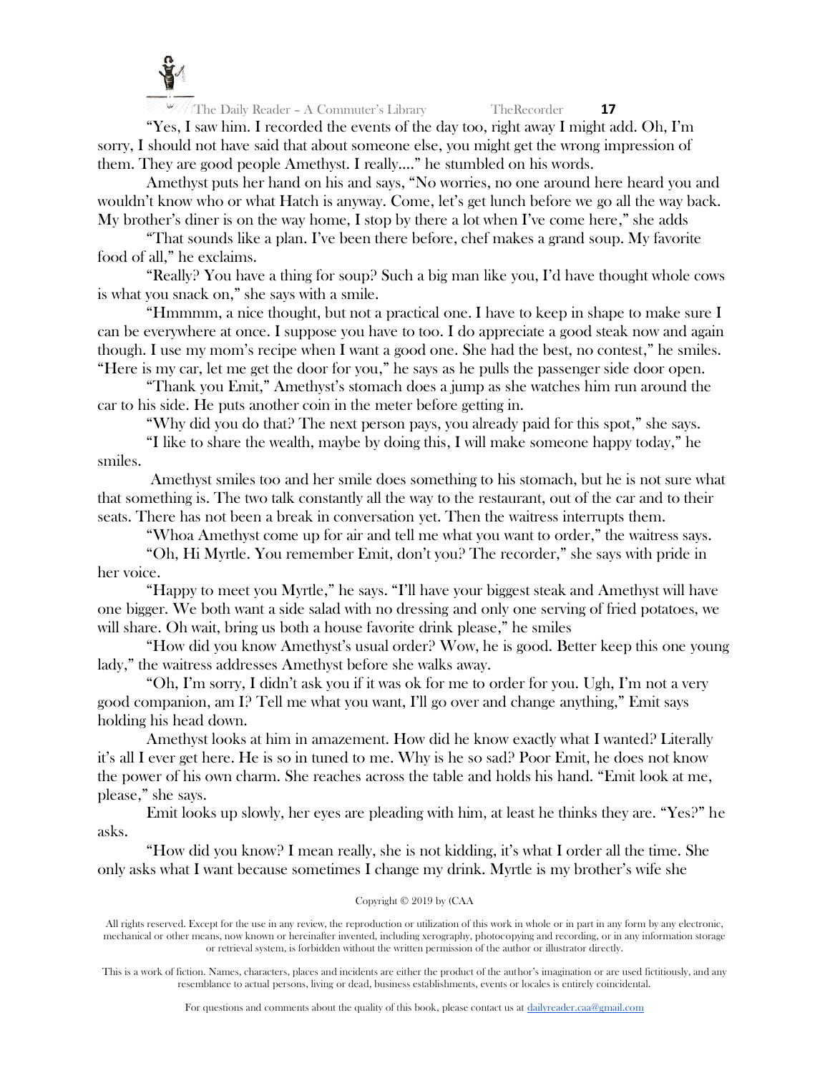

"Yes, I saw him. I recorded the events of the day too, right away I might add. Oh, I'm sorry, I should not have said that about someone else, you might get the wrong impression of them. They are good people Amethyst. I really…." he stumbled on his words.

Amethyst puts her hand on his and says, "No worries, no one around here heard you and wouldn't know who or what Hatch is anyway. Come, let's get lunch before we go all the way back. My brother's diner is on the way home, I stop by there a lot when I've come here," she adds

"That sounds like a plan. I've been there before, chef makes a grand soup. My favorite food of all," he exclaims.

"Really? You have a thing for soup? Such a big man like you, I'd have thought whole cows is what you snack on," she says with a smile.

"Hmmmm, a nice thought, but not a practical one. I have to keep in shape to make sure I can be everywhere at once. I suppose you have to too. I do appreciate a good steak now and again though. I use my mom's recipe when I want a good one. She had the best, no contest," he smiles. "Here is my car, let me get the door for you," he says as he pulls the passenger side door open.

"Thank you Emit," Amethyst's stomach does a jump as she watches him run around the car to his side. He puts another coin in the meter before getting in.

"Why did you do that? The next person pays, you already paid for this spot," she says.

"I like to share the wealth, maybe by doing this, I will make someone happy today," he smiles.

Amethyst smiles too and her smile does something to his stomach, but he is not sure what that something is. The two talk constantly all the way to the restaurant, out of the car and to their seats. There has not been a break in conversation yet. Then the waitress interrupts them.

"Whoa Amethyst come up for air and tell me what you want to order," the waitress says.

"Oh, Hi Myrtle. You remember Emit, don't you? The recorder," she says with pride in her voice.

"Happy to meet you Myrtle," he says. "I'll have your biggest steak and Amethyst will have one bigger. We both want a side salad with no dressing and only one serving of fried potatoes, we will share. Oh wait, bring us both a house favorite drink please," he smiles

"How did you know Amethyst's usual order? Wow, he is good. Better keep this one young lady," the waitress addresses Amethyst before she walks away.

"Oh, I'm sorry, I didn't ask you if it was ok for me to order for you. Ugh, I'm not a very good companion, am I? Tell me what you want, I'll go over and change anything," Emit says holding his head down.

Amethyst looks at him in amazement. How did he know exactly what I wanted? Literally it's all I ever get here. He is so in tuned to me. Why is he so sad? Poor Emit, he does not know the power of his own charm. She reaches across the table and holds his hand. "Emit look at me, please," she says.

Emit looks up slowly, her eyes are pleading with him, at least he thinks they are. "Yes?" he asks.

"How did you know? I mean really, she is not kidding, it's what I order all the time. She only asks what I want because sometimes I change my drink. Myrtle is my brother's wife she

# Copyright © 2019 by (CAA

All rights reserved. Except for the use in any review, the reproduction or utilization of this work in whole or in part in any form by any electronic, mechanical or other means, now known or hereinafter invented, including xerography, photocopying and recording, or in any information storage or retrieval system, is forbidden without the written permission of the author or illustrator directly.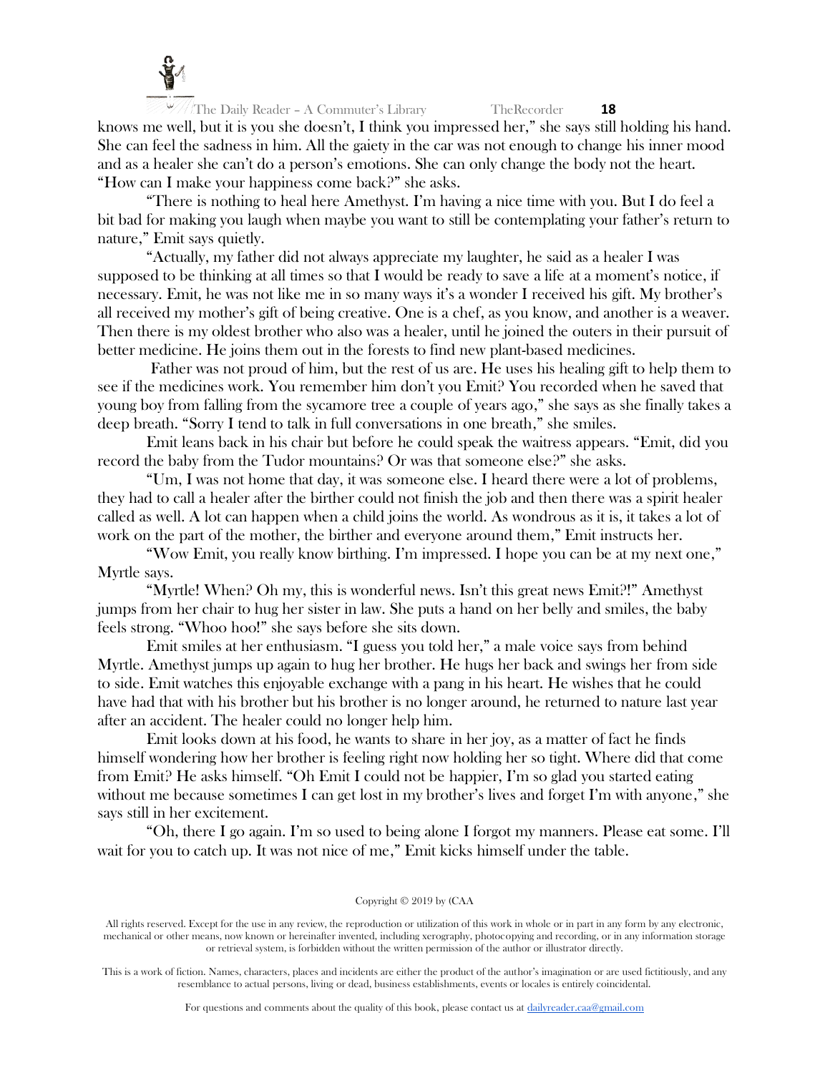

 $\frac{18}{10}$  The Daily Reader – A Commuter's Library TheRecorder **18** knows me well, but it is you she doesn't, I think you impressed her," she says still holding his hand. She can feel the sadness in him. All the gaiety in the car was not enough to change his inner mood and as a healer she can't do a person's emotions. She can only change the body not the heart. "How can I make your happiness come back?" she asks.

"There is nothing to heal here Amethyst. I'm having a nice time with you. But I do feel a bit bad for making you laugh when maybe you want to still be contemplating your father's return to nature," Emit says quietly.

"Actually, my father did not always appreciate my laughter, he said as a healer I was supposed to be thinking at all times so that I would be ready to save a life at a moment's notice, if necessary. Emit, he was not like me in so many ways it's a wonder I received his gift. My brother's all received my mother's gift of being creative. One is a chef, as you know, and another is a weaver. Then there is my oldest brother who also was a healer, until he joined the outers in their pursuit of better medicine. He joins them out in the forests to find new plant-based medicines.

Father was not proud of him, but the rest of us are. He uses his healing gift to help them to see if the medicines work. You remember him don't you Emit? You recorded when he saved that young boy from falling from the sycamore tree a couple of years ago," she says as she finally takes a deep breath. "Sorry I tend to talk in full conversations in one breath," she smiles.

Emit leans back in his chair but before he could speak the waitress appears. "Emit, did you record the baby from the Tudor mountains? Or was that someone else?" she asks.

"Um, I was not home that day, it was someone else. I heard there were a lot of problems, they had to call a healer after the birther could not finish the job and then there was a spirit healer called as well. A lot can happen when a child joins the world. As wondrous as it is, it takes a lot of work on the part of the mother, the birther and everyone around them," Emit instructs her.

"Wow Emit, you really know birthing. I'm impressed. I hope you can be at my next one," Myrtle says.

"Myrtle! When? Oh my, this is wonderful news. Isn't this great news Emit?!" Amethyst jumps from her chair to hug her sister in law. She puts a hand on her belly and smiles, the baby feels strong. "Whoo hoo!" she says before she sits down.

Emit smiles at her enthusiasm. "I guess you told her," a male voice says from behind Myrtle. Amethyst jumps up again to hug her brother. He hugs her back and swings her from side to side. Emit watches this enjoyable exchange with a pang in his heart. He wishes that he could have had that with his brother but his brother is no longer around, he returned to nature last year after an accident. The healer could no longer help him.

Emit looks down at his food, he wants to share in her joy, as a matter of fact he finds himself wondering how her brother is feeling right now holding her so tight. Where did that come from Emit? He asks himself. "Oh Emit I could not be happier, I'm so glad you started eating without me because sometimes I can get lost in my brother's lives and forget I'm with anyone," she says still in her excitement.

"Oh, there I go again. I'm so used to being alone I forgot my manners. Please eat some. I'll wait for you to catch up. It was not nice of me," Emit kicks himself under the table.

# Copyright © 2019 by (CAA

All rights reserved. Except for the use in any review, the reproduction or utilization of this work in whole or in part in any form by any electronic, mechanical or other means, now known or hereinafter invented, including xerography, photocopying and recording, or in any information storage or retrieval system, is forbidden without the written permission of the author or illustrator directly.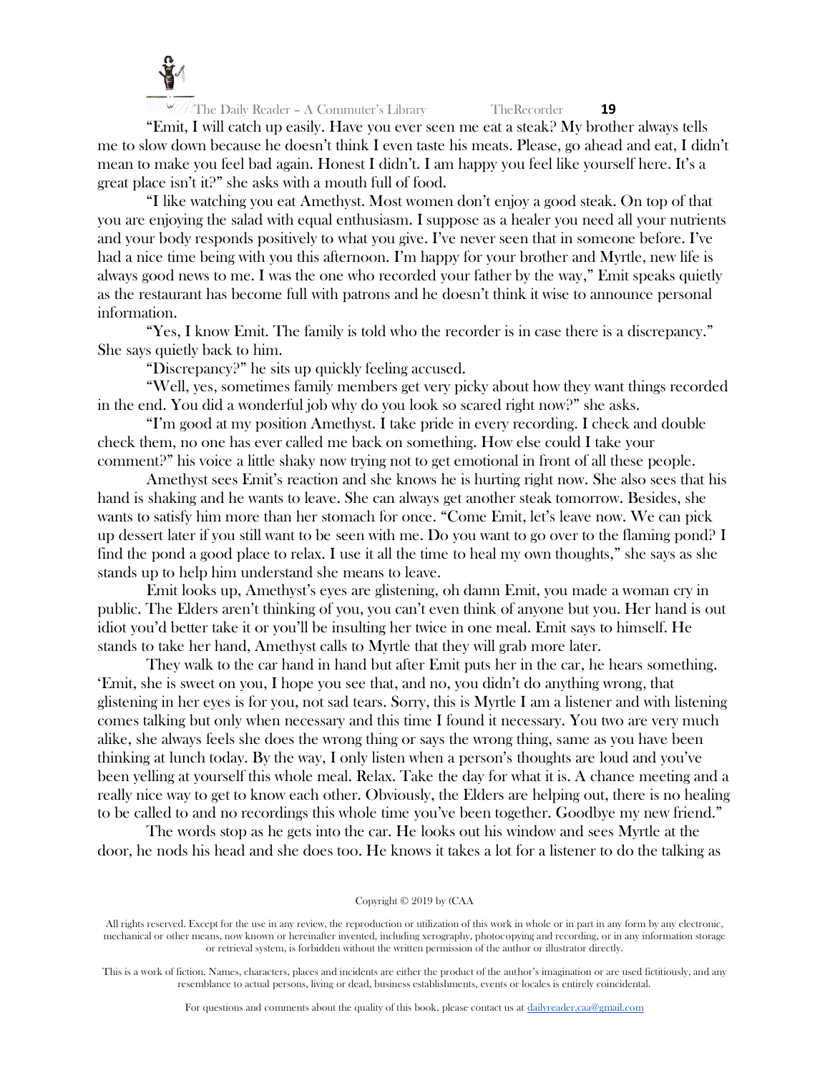

"Emit, I will catch up easily. Have you ever seen me eat a steak? My brother always tells me to slow down because he doesn't think I even taste his meats. Please, go ahead and eat, I didn't mean to make you feel bad again. Honest I didn't. I am happy you feel like yourself here. It's a great place isn't it?" she asks with a mouth full of food.

"I like watching you eat Amethyst. Most women don't enjoy a good steak. On top of that you are enjoying the salad with equal enthusiasm. I suppose as a healer you need all your nutrients and your body responds positively to what you give. I've never seen that in someone before. I've had a nice time being with you this afternoon. I'm happy for your brother and Myrtle, new life is always good news to me. I was the one who recorded your father by the way," Emit speaks quietly as the restaurant has become full with patrons and he doesn't think it wise to announce personal information.

"Yes, I know Emit. The family is told who the recorder is in case there is a discrepancy." She says quietly back to him.

"Discrepancy?" he sits up quickly feeling accused.

"Well, yes, sometimes family members get very picky about how they want things recorded in the end. You did a wonderful job why do you look so scared right now?" she asks.

"I'm good at my position Amethyst. I take pride in every recording. I check and double check them, no one has ever called me back on something. How else could I take your comment?" his voice a little shaky now trying not to get emotional in front of all these people.

Amethyst sees Emit's reaction and she knows he is hurting right now. She also sees that his hand is shaking and he wants to leave. She can always get another steak tomorrow. Besides, she wants to satisfy him more than her stomach for once. "Come Emit, let's leave now. We can pick up dessert later if you still want to be seen with me. Do you want to go over to the flaming pond? I find the pond a good place to relax. I use it all the time to heal my own thoughts," she says as she stands up to help him understand she means to leave.

Emit looks up, Amethyst's eyes are glistening, oh damn Emit, you made a woman cry in public. The Elders aren't thinking of you, you can't even think of anyone but you. Her hand is out idiot you'd better take it or you'll be insulting her twice in one meal. Emit says to himself. He stands to take her hand, Amethyst calls to Myrtle that they will grab more later.

They walk to the car hand in hand but after Emit puts her in the car, he hears something. 'Emit, she is sweet on you, I hope you see that, and no, you didn't do anything wrong, that glistening in her eyes is for you, not sad tears. Sorry, this is Myrtle I am a listener and with listening comes talking but only when necessary and this time I found it necessary. You two are very much alike, she always feels she does the wrong thing or says the wrong thing, same as you have been thinking at lunch today. By the way, I only listen when a person's thoughts are loud and you've been yelling at yourself this whole meal. Relax. Take the day for what it is. A chance meeting and a really nice way to get to know each other. Obviously, the Elders are helping out, there is no healing to be called to and no recordings this whole time you've been together. Goodbye my new friend."

The words stop as he gets into the car. He looks out his window and sees Myrtle at the door, he nods his head and she does too. He knows it takes a lot for a listener to do the talking as

#### Copyright © 2019 by (CAA

All rights reserved. Except for the use in any review, the reproduction or utilization of this work in whole or in part in any form by any electronic, mechanical or other means, now known or hereinafter invented, including xerography, photocopying and recording, or in any information storage or retrieval system, is forbidden without the written permission of the author or illustrator directly.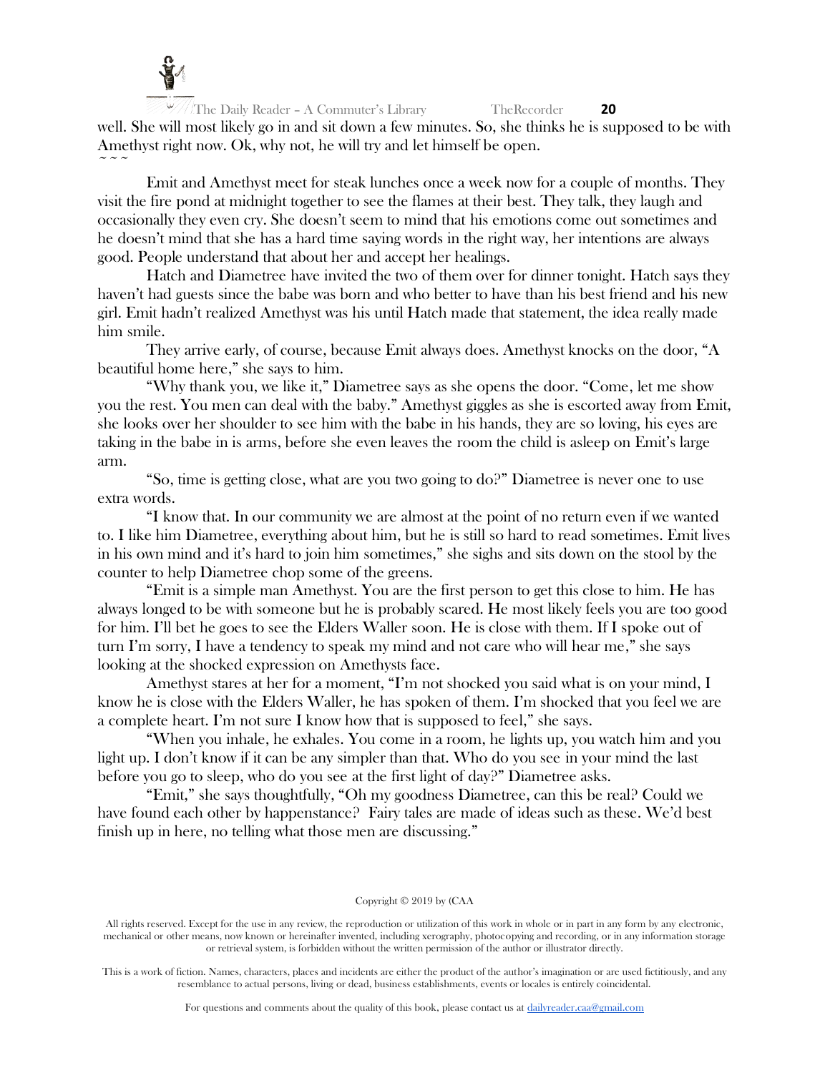

The Daily Reader – A Commuter's Library TheRecorder **20** well. She will most likely go in and sit down a few minutes. So, she thinks he is supposed to be with Amethyst right now. Ok, why not, he will try and let himself be open.  $\sim$   $\sim$   $\sim$ 

Emit and Amethyst meet for steak lunches once a week now for a couple of months. They visit the fire pond at midnight together to see the flames at their best. They talk, they laugh and occasionally they even cry. She doesn't seem to mind that his emotions come out sometimes and he doesn't mind that she has a hard time saying words in the right way, her intentions are always good. People understand that about her and accept her healings.

Hatch and Diametree have invited the two of them over for dinner tonight. Hatch says they haven't had guests since the babe was born and who better to have than his best friend and his new girl. Emit hadn't realized Amethyst was his until Hatch made that statement, the idea really made him smile.

They arrive early, of course, because Emit always does. Amethyst knocks on the door, "A beautiful home here," she says to him.

"Why thank you, we like it," Diametree says as she opens the door. "Come, let me show you the rest. You men can deal with the baby." Amethyst giggles as she is escorted away from Emit, she looks over her shoulder to see him with the babe in his hands, they are so loving, his eyes are taking in the babe in is arms, before she even leaves the room the child is asleep on Emit's large arm.

"So, time is getting close, what are you two going to do?" Diametree is never one to use extra words.

"I know that. In our community we are almost at the point of no return even if we wanted to. I like him Diametree, everything about him, but he is still so hard to read sometimes. Emit lives in his own mind and it's hard to join him sometimes," she sighs and sits down on the stool by the counter to help Diametree chop some of the greens.

"Emit is a simple man Amethyst. You are the first person to get this close to him. He has always longed to be with someone but he is probably scared. He most likely feels you are too good for him. I'll bet he goes to see the Elders Waller soon. He is close with them. If I spoke out of turn I'm sorry, I have a tendency to speak my mind and not care who will hear me," she says looking at the shocked expression on Amethysts face.

Amethyst stares at her for a moment, "I'm not shocked you said what is on your mind, I know he is close with the Elders Waller, he has spoken of them. I'm shocked that you feel we are a complete heart. I'm not sure I know how that is supposed to feel," she says.

"When you inhale, he exhales. You come in a room, he lights up, you watch him and you light up. I don't know if it can be any simpler than that. Who do you see in your mind the last before you go to sleep, who do you see at the first light of day?" Diametree asks.

"Emit," she says thoughtfully, "Oh my goodness Diametree, can this be real? Could we have found each other by happenstance? Fairy tales are made of ideas such as these. We'd best finish up in here, no telling what those men are discussing."

# Copyright © 2019 by (CAA

All rights reserved. Except for the use in any review, the reproduction or utilization of this work in whole or in part in any form by any electronic, mechanical or other means, now known or hereinafter invented, including xerography, photocopying and recording, or in any information storage or retrieval system, is forbidden without the written permission of the author or illustrator directly.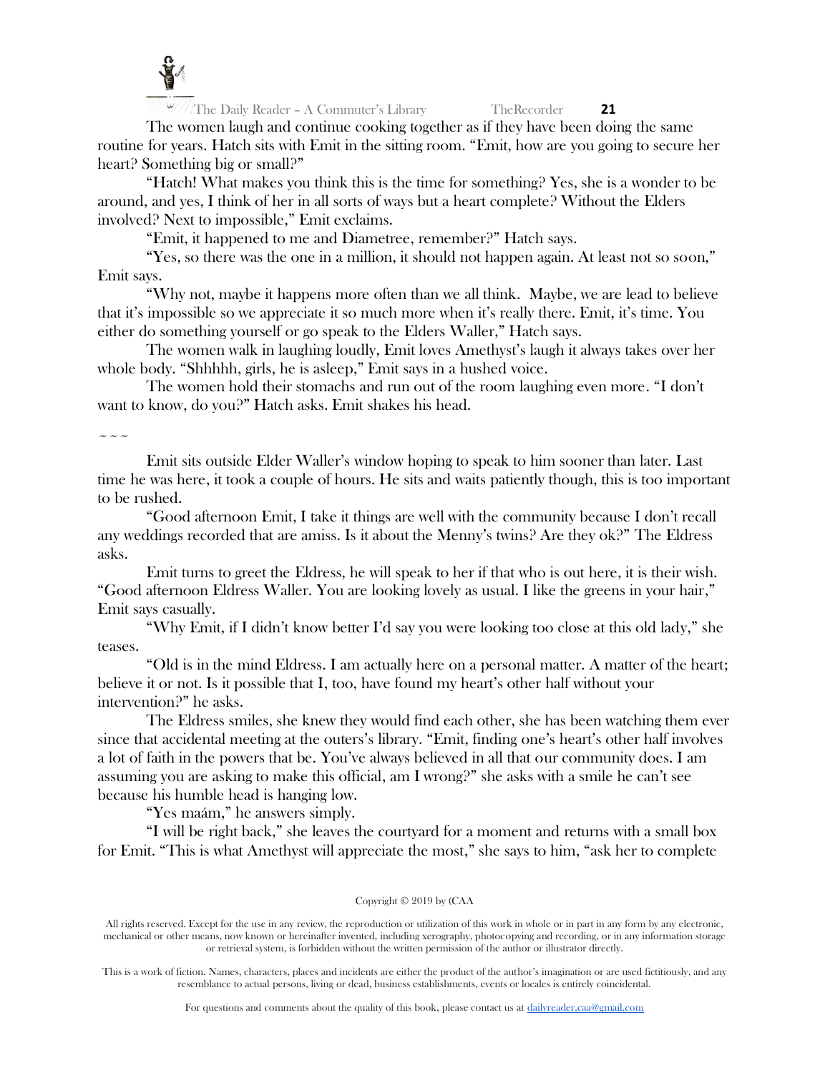

The women laugh and continue cooking together as if they have been doing the same routine for years. Hatch sits with Emit in the sitting room. "Emit, how are you going to secure her heart? Something big or small?"

"Hatch! What makes you think this is the time for something? Yes, she is a wonder to be around, and yes, I think of her in all sorts of ways but a heart complete? Without the Elders involved? Next to impossible," Emit exclaims.

"Emit, it happened to me and Diametree, remember?" Hatch says.

"Yes, so there was the one in a million, it should not happen again. At least not so soon," Emit says.

"Why not, maybe it happens more often than we all think. Maybe, we are lead to believe that it's impossible so we appreciate it so much more when it's really there. Emit, it's time. You either do something yourself or go speak to the Elders Waller," Hatch says.

The women walk in laughing loudly, Emit loves Amethyst's laugh it always takes over her whole body. "Shhhhh, girls, he is asleep," Emit says in a hushed voice.

The women hold their stomachs and run out of the room laughing even more. "I don't want to know, do you?" Hatch asks. Emit shakes his head.

 $\sim\ \sim$ 

Emit sits outside Elder Waller's window hoping to speak to him sooner than later. Last time he was here, it took a couple of hours. He sits and waits patiently though, this is too important to be rushed.

"Good afternoon Emit, I take it things are well with the community because I don't recall any weddings recorded that are amiss. Is it about the Menny's twins? Are they ok?" The Eldress asks.

Emit turns to greet the Eldress, he will speak to her if that who is out here, it is their wish. "Good afternoon Eldress Waller. You are looking lovely as usual. I like the greens in your hair," Emit says casually.

"Why Emit, if I didn't know better I'd say you were looking too close at this old lady," she teases.

"Old is in the mind Eldress. I am actually here on a personal matter. A matter of the heart; believe it or not. Is it possible that I, too, have found my heart's other half without your intervention?" he asks.

The Eldress smiles, she knew they would find each other, she has been watching them ever since that accidental meeting at the outers's library. "Emit, finding one's heart's other half involves a lot of faith in the powers that be. You've always believed in all that our community does. I am assuming you are asking to make this official, am I wrong?" she asks with a smile he can't see because his humble head is hanging low.

"Yes maám," he answers simply.

"I will be right back," she leaves the courtyard for a moment and returns with a small box for Emit. "This is what Amethyst will appreciate the most," she says to him, "ask her to complete

# Copyright © 2019 by (CAA

All rights reserved. Except for the use in any review, the reproduction or utilization of this work in whole or in part in any form by any electronic, mechanical or other means, now known or hereinafter invented, including xerography, photocopying and recording, or in any information storage or retrieval system, is forbidden without the written permission of the author or illustrator directly.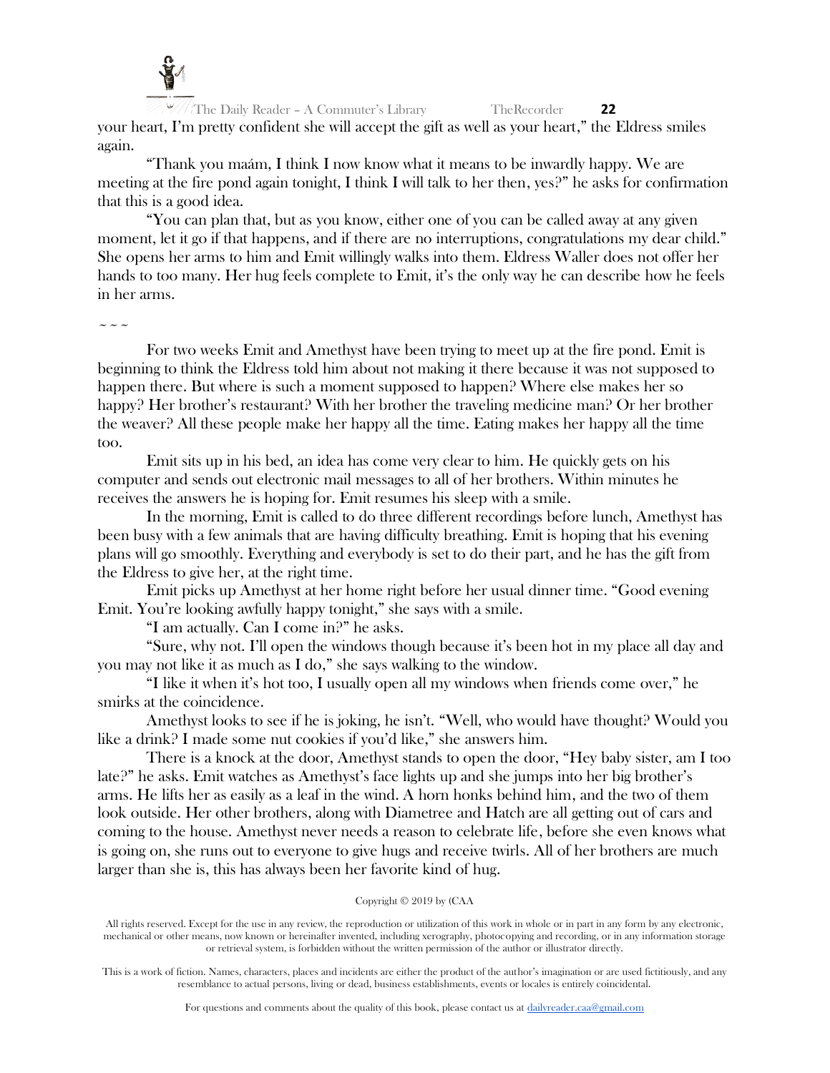

The Daily Reader – A Commuter's Library TheRecorder **22** your heart, I'm pretty confident she will accept the gift as well as your heart," the Eldress smiles again.

"Thank you maám, I think I now know what it means to be inwardly happy. We are meeting at the fire pond again tonight, I think I will talk to her then, yes?" he asks for confirmation that this is a good idea.

"You can plan that, but as you know, either one of you can be called away at any given moment, let it go if that happens, and if there are no interruptions, congratulations my dear child." She opens her arms to him and Emit willingly walks into them. Eldress Waller does not offer her hands to too many. Her hug feels complete to Emit, it's the only way he can describe how he feels in her arms.

 $\sim\sim\sim$ 

For two weeks Emit and Amethyst have been trying to meet up at the fire pond. Emit is beginning to think the Eldress told him about not making it there because it was not supposed to happen there. But where is such a moment supposed to happen? Where else makes her so happy? Her brother's restaurant? With her brother the traveling medicine man? Or her brother the weaver? All these people make her happy all the time. Eating makes her happy all the time too.

Emit sits up in his bed, an idea has come very clear to him. He quickly gets on his computer and sends out electronic mail messages to all of her brothers. Within minutes he receives the answers he is hoping for. Emit resumes his sleep with a smile.

In the morning, Emit is called to do three different recordings before lunch, Amethyst has been busy with a few animals that are having difficulty breathing. Emit is hoping that his evening plans will go smoothly. Everything and everybody is set to do their part, and he has the gift from the Eldress to give her, at the right time.

Emit picks up Amethyst at her home right before her usual dinner time. "Good evening Emit. You're looking awfully happy tonight," she says with a smile.

"I am actually. Can I come in?" he asks.

"Sure, why not. I'll open the windows though because it's been hot in my place all day and you may not like it as much as I do," she says walking to the window.

"I like it when it's hot too, I usually open all my windows when friends come over," he smirks at the coincidence.

Amethyst looks to see if he is joking, he isn't. "Well, who would have thought? Would you like a drink? I made some nut cookies if you'd like," she answers him.

There is a knock at the door, Amethyst stands to open the door, "Hey baby sister, am I too late?" he asks. Emit watches as Amethyst's face lights up and she jumps into her big brother's arms. He lifts her as easily as a leaf in the wind. A horn honks behind him, and the two of them look outside. Her other brothers, along with Diametree and Hatch are all getting out of cars and coming to the house. Amethyst never needs a reason to celebrate life, before she even knows what is going on, she runs out to everyone to give hugs and receive twirls. All of her brothers are much larger than she is, this has always been her favorite kind of hug.

# Copyright © 2019 by (CAA

All rights reserved. Except for the use in any review, the reproduction or utilization of this work in whole or in part in any form by any electronic, mechanical or other means, now known or hereinafter invented, including xerography, photocopying and recording, or in any information storage or retrieval system, is forbidden without the written permission of the author or illustrator directly.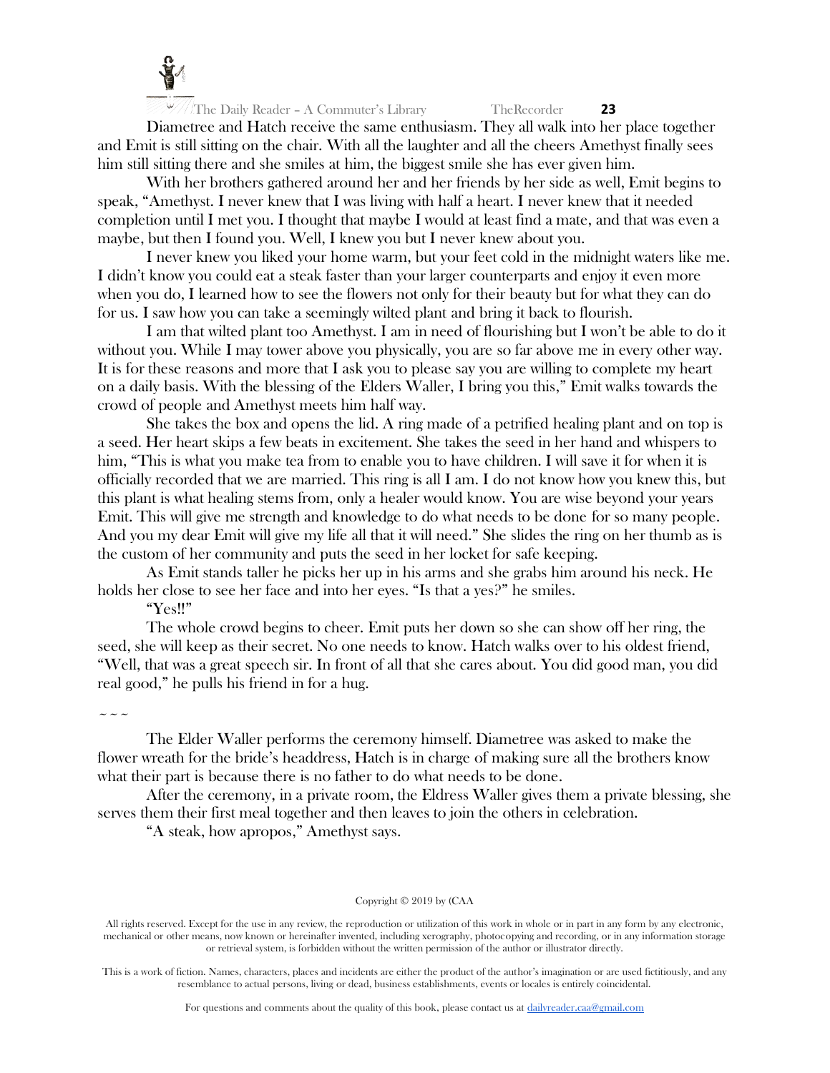

Diametree and Hatch receive the same enthusiasm. They all walk into her place together and Emit is still sitting on the chair. With all the laughter and all the cheers Amethyst finally sees him still sitting there and she smiles at him, the biggest smile she has ever given him.

With her brothers gathered around her and her friends by her side as well, Emit begins to speak, "Amethyst. I never knew that I was living with half a heart. I never knew that it needed completion until I met you. I thought that maybe I would at least find a mate, and that was even a maybe, but then I found you. Well, I knew you but I never knew about you.

I never knew you liked your home warm, but your feet cold in the midnight waters like me. I didn't know you could eat a steak faster than your larger counterparts and enjoy it even more when you do, I learned how to see the flowers not only for their beauty but for what they can do for us. I saw how you can take a seemingly wilted plant and bring it back to flourish.

I am that wilted plant too Amethyst. I am in need of flourishing but I won't be able to do it without you. While I may tower above you physically, you are so far above me in every other way. It is for these reasons and more that I ask you to please say you are willing to complete my heart on a daily basis. With the blessing of the Elders Waller, I bring you this," Emit walks towards the crowd of people and Amethyst meets him half way.

She takes the box and opens the lid. A ring made of a petrified healing plant and on top is a seed. Her heart skips a few beats in excitement. She takes the seed in her hand and whispers to him, "This is what you make tea from to enable you to have children. I will save it for when it is officially recorded that we are married. This ring is all I am. I do not know how you knew this, but this plant is what healing stems from, only a healer would know. You are wise beyond your years Emit. This will give me strength and knowledge to do what needs to be done for so many people. And you my dear Emit will give my life all that it will need." She slides the ring on her thumb as is the custom of her community and puts the seed in her locket for safe keeping.

As Emit stands taller he picks her up in his arms and she grabs him around his neck. He holds her close to see her face and into her eyes. "Is that a yes?" he smiles.

"Yes!!"

The whole crowd begins to cheer. Emit puts her down so she can show off her ring, the seed, she will keep as their secret. No one needs to know. Hatch walks over to his oldest friend, "Well, that was a great speech sir. In front of all that she cares about. You did good man, you did real good," he pulls his friend in for a hug.

 $\sim\sim\sim$ 

The Elder Waller performs the ceremony himself. Diametree was asked to make the flower wreath for the bride's headdress, Hatch is in charge of making sure all the brothers know what their part is because there is no father to do what needs to be done.

After the ceremony, in a private room, the Eldress Waller gives them a private blessing, she serves them their first meal together and then leaves to join the others in celebration.

"A steak, how apropos," Amethyst says.

# Copyright © 2019 by (CAA

All rights reserved. Except for the use in any review, the reproduction or utilization of this work in whole or in part in any form by any electronic, mechanical or other means, now known or hereinafter invented, including xerography, photocopying and recording, or in any information storage or retrieval system, is forbidden without the written permission of the author or illustrator directly.